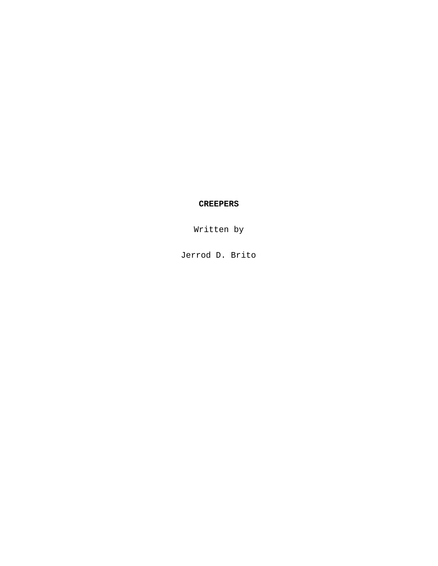# **CREEPERS**

Written by

Jerrod D. Brito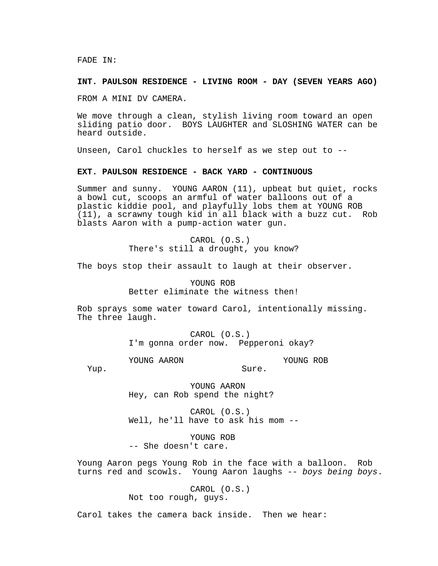FADE IN:

### **INT. PAULSON RESIDENCE - LIVING ROOM - DAY (SEVEN YEARS AGO)**

FROM A MINI DV CAMERA.

We move through a clean, stylish living room toward an open sliding patio door. BOYS LAUGHTER and SLOSHING WATER can be heard outside.

Unseen, Carol chuckles to herself as we step out to --

#### **EXT. PAULSON RESIDENCE - BACK YARD - CONTINUOUS**

Summer and sunny. YOUNG AARON (11), upbeat but quiet, rocks a bowl cut, scoops an armful of water balloons out of a plastic kiddie pool, and playfully lobs them at YOUNG ROB (11), a scrawny tough kid in all black with a buzz cut. Rob blasts Aaron with a pump-action water gun.

> CAROL (O.S.) There's still a drought, you know?

The boys stop their assault to laugh at their observer.

YOUNG ROB Better eliminate the witness then!

Rob sprays some water toward Carol, intentionally missing. The three laugh.

> CAROL (O.S.) I'm gonna order now. Pepperoni okay?

YOUNG AARON

YOUNG ROB

Sure.

Yup.

YOUNG AARON Hey, can Rob spend the night?

CAROL (O.S.) Well, he'll have to ask his mom --

YOUNG ROB -- She doesn't care.

Young Aaron pegs Young Rob in the face with a balloon. Rob turns red and scowls. Young Aaron laughs -- boys being boys.

> CAROL (O.S.) Not too rough, guys.

Carol takes the camera back inside. Then we hear: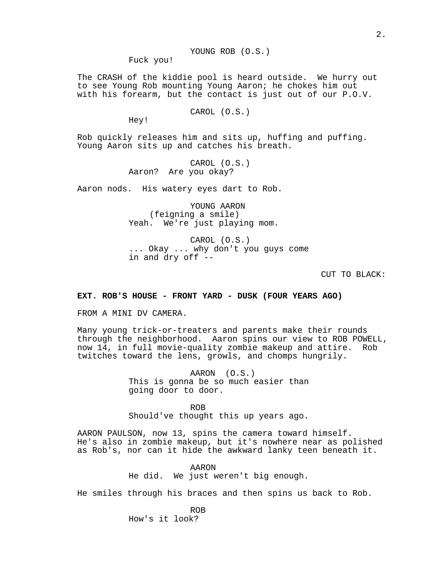Fuck you!

The CRASH of the kiddie pool is heard outside. We hurry out to see Young Rob mounting Young Aaron; he chokes him out with his forearm, but the contact is just out of our P.O.V.

CAROL (O.S.)

Hey!

Rob quickly releases him and sits up, huffing and puffing. Young Aaron sits up and catches his breath.

> CAROL (O.S.) Aaron? Are you okay?

Aaron nods. His watery eyes dart to Rob.

YOUNG AARON (feigning a smile) Yeah. We're just playing mom.

CAROL (O.S.) ... Okay ... why don't you guys come in and dry off --

CUT TO BLACK:

**EXT. ROB'S HOUSE - FRONT YARD - DUSK (FOUR YEARS AGO)**

FROM A MINI DV CAMERA.

Many young trick-or-treaters and parents make their rounds through the neighborhood. Aaron spins our view to ROB POWELL, now 14, in full movie-quality zombie makeup and attire. Rob twitches toward the lens, growls, and chomps hungrily.

> AARON (O.S.) This is gonna be so much easier than going door to door.

> ROB Should've thought this up years ago.

AARON PAULSON, now 13, spins the camera toward himself. He's also in zombie makeup, but it's nowhere near as polished as Rob's, nor can it hide the awkward lanky teen beneath it.

> AARON He did. We just weren't big enough.

He smiles through his braces and then spins us back to Rob.

ROB

How's it look?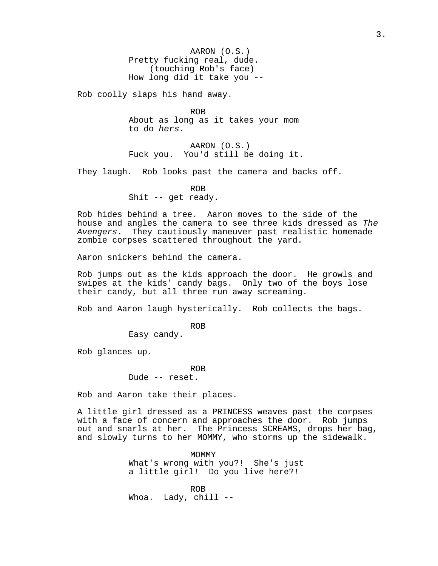AARON (O.S.) Pretty fucking real, dude. (touching Rob's face) How long did it take you --

Rob coolly slaps his hand away.

ROB About as long as it takes your mom to do hers.

AARON (O.S.) Fuck you. You'd still be doing it.

They laugh. Rob looks past the camera and backs off.

ROB Shit -- get ready.

Rob hides behind a tree. Aaron moves to the side of the house and angles the camera to see three kids dressed as The Avengers. They cautiously maneuver past realistic homemade zombie corpses scattered throughout the yard.

Aaron snickers behind the camera.

Rob jumps out as the kids approach the door. He growls and swipes at the kids' candy bags. Only two of the boys lose their candy, but all three run away screaming.

Rob and Aaron laugh hysterically. Rob collects the bags.

ROB

Easy candy.

Rob glances up.

### ROB

## Dude -- reset.

Rob and Aaron take their places.

A little girl dressed as a PRINCESS weaves past the corpses with a face of concern and approaches the door. Rob jumps out and snarls at her. The Princess SCREAMS, drops her bag, and slowly turns to her MOMMY, who storms up the sidewalk.

> MOMMY What's wrong with you?! She's just a little girl! Do you live here?!

ROB Whoa. Lady, chill --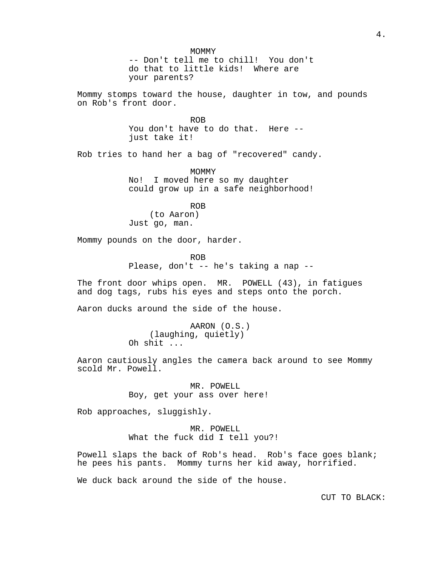MOMMY -- Don't tell me to chill! You don't do that to little kids! Where are your parents?

Mommy stomps toward the house, daughter in tow, and pounds on Rob's front door.

> ROB You don't have to do that. Here - just take it!

Rob tries to hand her a bag of "recovered" candy.

MOMMY No! I moved here so my daughter could grow up in a safe neighborhood!

ROB (to Aaron) Just go, man.

Mommy pounds on the door, harder.

ROB

Please, don't -- he's taking a nap --

The front door whips open. MR. POWELL (43), in fatigues and dog tags, rubs his eyes and steps onto the porch.

Aaron ducks around the side of the house.

AARON (O.S.) (laughing, quietly) Oh shit ...

Aaron cautiously angles the camera back around to see Mommy scold Mr. Powell.

> MR. POWELL Boy, get your ass over here!

Rob approaches, sluggishly.

MR. POWELL What the fuck did I tell you?!

Powell slaps the back of Rob's head. Rob's face goes blank; he pees his pants. Mommy turns her kid away, horrified.

We duck back around the side of the house.

CUT TO BLACK: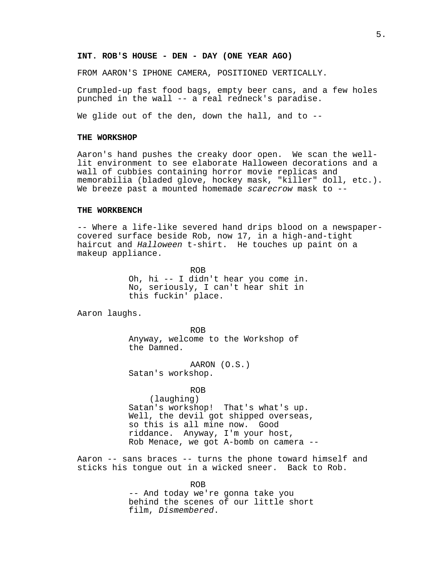## **INT. ROB'S HOUSE - DEN - DAY (ONE YEAR AGO)**

FROM AARON'S IPHONE CAMERA, POSITIONED VERTICALLY.

Crumpled-up fast food bags, empty beer cans, and a few holes punched in the wall -- a real redneck's paradise.

We glide out of the den, down the hall, and to --

### **THE WORKSHOP**

Aaron's hand pushes the creaky door open. We scan the welllit environment to see elaborate Halloween decorations and a wall of cubbies containing horror movie replicas and memorabilia (bladed glove, hockey mask, "killer" doll, etc.). We breeze past a mounted homemade scarecrow mask to --

### **THE WORKBENCH**

-- Where a life-like severed hand drips blood on a newspapercovered surface beside Rob, now 17, in a high-and-tight haircut and Halloween t-shirt. He touches up paint on a makeup appliance.

> ROB Oh, hi -- I didn't hear you come in. No, seriously, I can't hear shit in this fuckin' place.

Aaron laughs.

ROB Anyway, welcome to the Workshop of the Damned.

AARON (O.S.) Satan's workshop.

ROB

(laughing) Satan's workshop! That's what's up. Well, the devil got shipped overseas, so this is all mine now. Good riddance. Anyway, I'm your host, Rob Menace, we got A-bomb on camera --

Aaron -- sans braces -- turns the phone toward himself and sticks his tongue out in a wicked sneer. Back to Rob.

> ROB -- And today we're gonna take you behind the scenes of our little short film, Dismembered.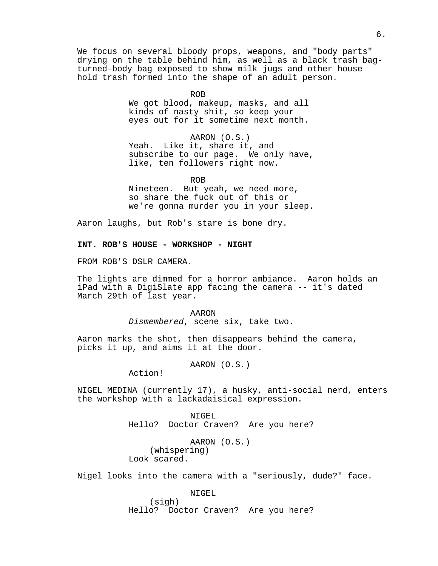We focus on several bloody props, weapons, and "body parts" drying on the table behind him, as well as a black trash bagturned-body bag exposed to show milk jugs and other house hold trash formed into the shape of an adult person.

ROB

We got blood, makeup, masks, and all kinds of nasty shit, so keep your eyes out for it sometime next month.

AARON (O.S.) Yeah. Like it, share it, and subscribe to our page. We only have, like, ten followers right now.

ROB

Nineteen. But yeah, we need more, so share the fuck out of this or we're gonna murder you in your sleep.

Aaron laughs, but Rob's stare is bone dry.

**INT. ROB'S HOUSE - WORKSHOP - NIGHT**

FROM ROB'S DSLR CAMERA.

The lights are dimmed for a horror ambiance. Aaron holds an iPad with a DigiSlate app facing the camera -- it's dated March 29th of last year.

> AARON Dismembered, scene six, take two.

Aaron marks the shot, then disappears behind the camera, picks it up, and aims it at the door.

AARON (O.S.)

Action!

NIGEL MEDINA (currently 17), a husky, anti-social nerd, enters the workshop with a lackadaisical expression.

> NIGEL Hello? Doctor Craven? Are you here?

AARON (O.S.) (whispering) Look scared.

Nigel looks into the camera with a "seriously, dude?" face.

NIGEL

(sigh) Hello? Doctor Craven? Are you here?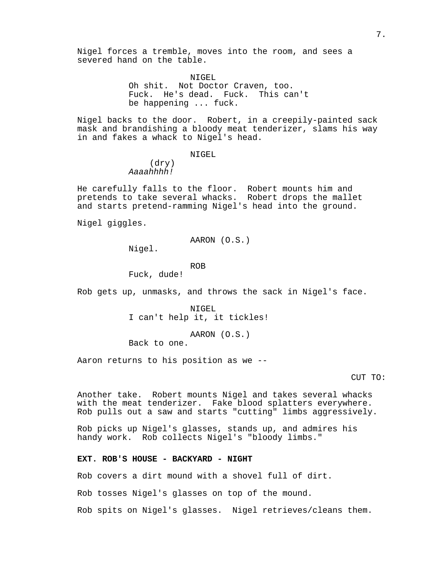Nigel forces a tremble, moves into the room, and sees a severed hand on the table.

> NIGEL Oh shit. Not Doctor Craven, too. Fuck. He's dead. Fuck. This can't be happening ... fuck.

Nigel backs to the door. Robert, in a creepily-painted sack mask and brandishing a bloody meat tenderizer, slams his way in and fakes a whack to Nigel's head.

## NIGEL

(dry) Aaaahhhh!

He carefully falls to the floor. Robert mounts him and pretends to take several whacks. Robert drops the mallet and starts pretend-ramming Nigel's head into the ground.

Nigel giggles.

AARON (O.S.)

Nigel.

### ROB

Fuck, dude!

Rob gets up, unmasks, and throws the sack in Nigel's face.

NIGEL I can't help it, it tickles!

AARON (O.S.) Back to one.

Aaron returns to his position as we --

## CUT TO:

Another take. Robert mounts Nigel and takes several whacks with the meat tenderizer. Fake blood splatters everywhere. Rob pulls out a saw and starts "cutting" limbs aggressively.

Rob picks up Nigel's glasses, stands up, and admires his handy work. Rob collects Nigel's "bloody limbs."

## **EXT. ROB'S HOUSE - BACKYARD - NIGHT**

Rob covers a dirt mound with a shovel full of dirt.

Rob tosses Nigel's glasses on top of the mound.

Rob spits on Nigel's glasses. Nigel retrieves/cleans them.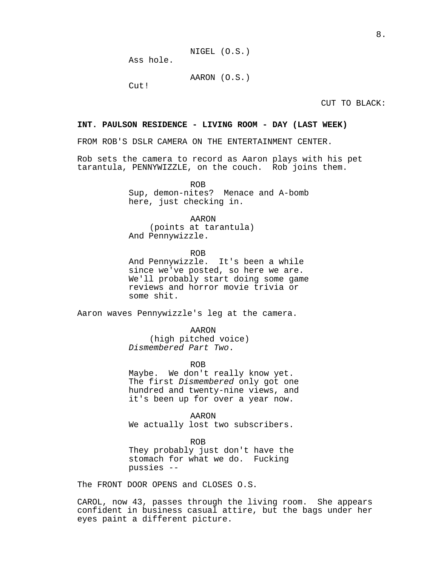NIGEL (O.S.)

Ass hole.

AARON (O.S.)

Cut!

CUT TO BLACK:

#### **INT. PAULSON RESIDENCE - LIVING ROOM - DAY (LAST WEEK)**

FROM ROB'S DSLR CAMERA ON THE ENTERTAINMENT CENTER.

Rob sets the camera to record as Aaron plays with his pet tarantula, PENNYWIZZLE, on the couch. Rob joins them.

> ROB Sup, demon-nites? Menace and A-bomb here, just checking in.

> > AARON

(points at tarantula) And Pennywizzle.

ROB

And Pennywizzle. It's been a while since we've posted, so here we are. We'll probably start doing some game reviews and horror movie trivia or some shit.

Aaron waves Pennywizzle's leg at the camera.

AARON

(high pitched voice) Dismembered Part Two.

ROB

Maybe. We don't really know yet. The first Dismembered only got one hundred and twenty-nine views, and it's been up for over a year now.

AARON We actually lost two subscribers.

ROB They probably just don't have the stomach for what we do. Fucking pussies --

The FRONT DOOR OPENS and CLOSES O.S.

CAROL, now 43, passes through the living room. She appears confident in business casual attire, but the bags under her eyes paint a different picture.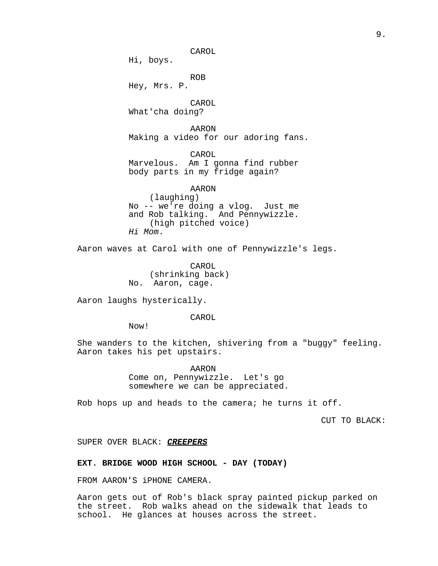Hi, boys. ROB Hey, Mrs. P. CAROL What'cha doing? AARON Making a video for our adoring fans. CAROL Marvelous. Am I gonna find rubber body parts in my fridge again? AARON (laughing) No -- we're doing a vlog. Just me and Rob talking. And Pennywizzle. (high pitched voice) Hi Mom.

CAROL

Aaron waves at Carol with one of Pennywizzle's legs.

CAROL (shrinking back) No. Aaron, cage.

Aaron laughs hysterically.

CAROL.

Now!

She wanders to the kitchen, shivering from a "buggy" feeling. Aaron takes his pet upstairs.

> AARON Come on, Pennywizzle. Let's go somewhere we can be appreciated.

Rob hops up and heads to the camera; he turns it off.

CUT TO BLACK:

SUPER OVER BLACK: **CREEPERS**

### **EXT. BRIDGE WOOD HIGH SCHOOL - DAY (TODAY)**

FROM AARON'S iPHONE CAMERA.

Aaron gets out of Rob's black spray painted pickup parked on the street. Rob walks ahead on the sidewalk that leads to school. He glances at houses across the street.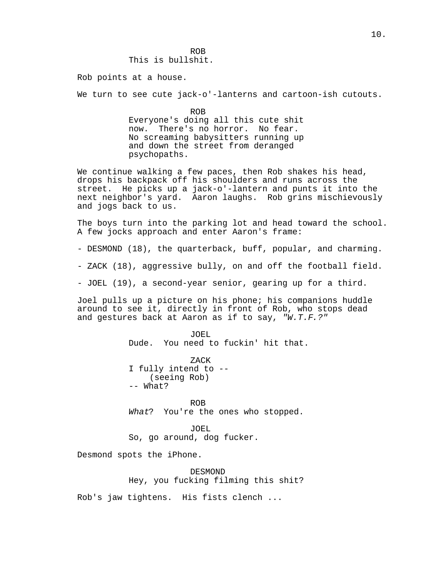# ROB This is bullshit.

Rob points at a house.

We turn to see cute jack-o'-lanterns and cartoon-ish cutouts.

ROB Everyone's doing all this cute shit now. There's no horror. No fear. No screaming babysitters running up and down the street from deranged psychopaths.

We continue walking a few paces, then Rob shakes his head, drops his backpack off his shoulders and runs across the street. He picks up a jack-o'-lantern and punts it into the next neighbor's yard. Aaron laughs. Rob grins mischievously and jogs back to us.

The boys turn into the parking lot and head toward the school. A few jocks approach and enter Aaron's frame:

- DESMOND (18), the quarterback, buff, popular, and charming.

- ZACK (18), aggressive bully, on and off the football field.

- JOEL (19), a second-year senior, gearing up for a third.

Joel pulls up a picture on his phone; his companions huddle around to see it, directly in front of Rob, who stops dead and gestures back at Aaron as if to say, "W.T.F.?"

> JOEL Dude. You need to fuckin' hit that.

ZACK I fully intend to -- (seeing Rob) -- What?

ROB What? You're the ones who stopped.

JOEL So, go around, dog fucker.

Desmond spots the iPhone.

DESMOND Hey, you fucking filming this shit?

Rob's jaw tightens. His fists clench ...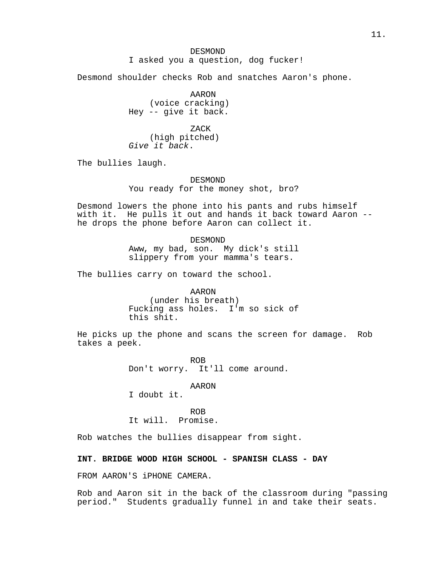DESMOND I asked you a question, dog fucker!

Desmond shoulder checks Rob and snatches Aaron's phone.

AARON (voice cracking) Hey -- give it back.

ZACK (high pitched) Give it back.

The bullies laugh.

DESMOND You ready for the money shot, bro?

Desmond lowers the phone into his pants and rubs himself with it. He pulls it out and hands it back toward Aaron -he drops the phone before Aaron can collect it.

> DESMOND Aww, my bad, son. My dick's still slippery from your mamma's tears.

The bullies carry on toward the school.

AARON (under his breath) Fucking ass holes. I'm so sick of

this shit.

He picks up the phone and scans the screen for damage. Rob takes a peek.

> ROB Don't worry. It'll come around.

> > AARON

I doubt it.

ROB It will. Promise.

Rob watches the bullies disappear from sight.

# **INT. BRIDGE WOOD HIGH SCHOOL - SPANISH CLASS - DAY**

FROM AARON'S iPHONE CAMERA.

Rob and Aaron sit in the back of the classroom during "passing period." Students gradually funnel in and take their seats.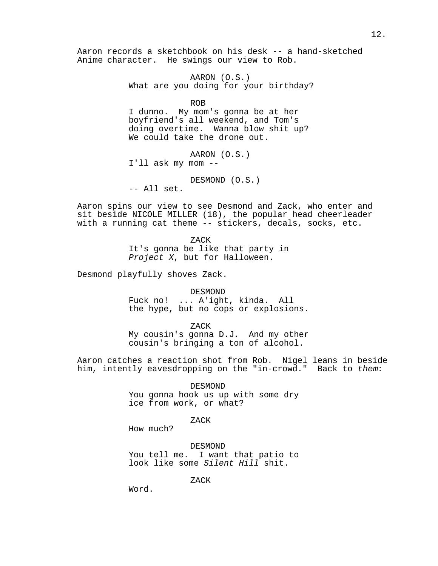Aaron records a sketchbook on his desk -- a hand-sketched Anime character. He swings our view to Rob.

> AARON (O.S.) What are you doing for your birthday?

> > ROB

I dunno. My mom's gonna be at her boyfriend's all weekend, and Tom's doing overtime. Wanna blow shit up? We could take the drone out.

AARON (O.S.) I'll ask my mom --

DESMOND (O.S.)

-- All set.

Aaron spins our view to see Desmond and Zack, who enter and sit beside NICOLE MILLER (18), the popular head cheerleader with a running cat theme -- stickers, decals, socks, etc.

> ZACK It's gonna be like that party in Project X, but for Halloween.

Desmond playfully shoves Zack.

DESMOND

Fuck no! ... A'ight, kinda. All the hype, but no cops or explosions.

ZACK

My cousin's gonna D.J. And my other cousin's bringing a ton of alcohol.

Aaron catches a reaction shot from Rob. Nigel leans in beside him, intently eavesdropping on the "in-crowd." Back to them:

> DESMOND You gonna hook us up with some dry ice from work, or what?

> > ZACK

How much?

DESMOND You tell me. I want that patio to look like some Silent Hill shit.

ZACK

Word.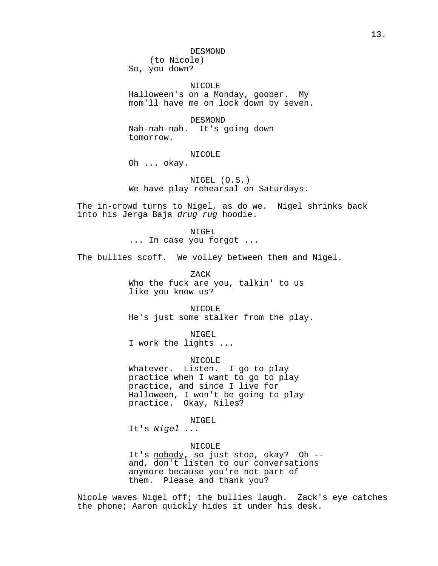(to Nicole) So, you down?

NICOLE Halloween's on a Monday, goober. My mom'll have me on lock down by seven.

DESMOND Nah-nah-nah. It's going down tomorrow.

#### NICOLE

Oh ... okay.

NIGEL (O.S.) We have play rehearsal on Saturdays.

The in-crowd turns to Nigel, as do we. Nigel shrinks back into his Jerga Baja drug rug hoodie.

> NIGEL ... In case you forgot ...

The bullies scoff. We volley between them and Nigel.

ZACK Who the fuck are you, talkin' to us like you know us?

NICOLE He's just some stalker from the play.

NIGEL I work the lights ...

NICOLE

Whatever. Listen. I go to play practice when I want to go to play practice, and since I live for Halloween, I won't be going to play practice. Okay, Niles?

NIGEL

It's Nigel ...

NICOLE

It's nobody, so just stop, okay? Oh -and, don't listen to our conversations anymore because you're not part of them. Please and thank you?

Nicole waves Nigel off; the bullies laugh. Zack's eye catches the phone; Aaron quickly hides it under his desk.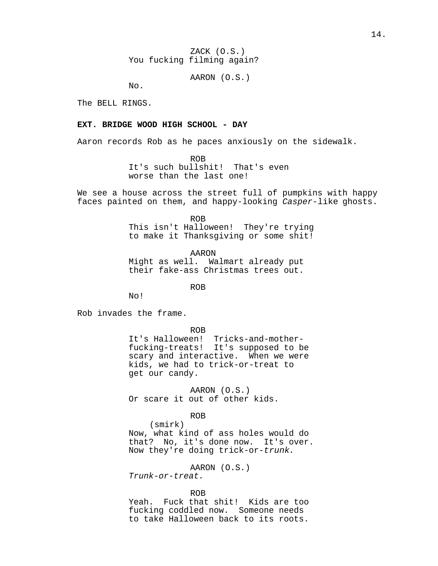ZACK (O.S.) You fucking filming again?

AARON (O.S.)

No.

The BELL RINGS.

#### **EXT. BRIDGE WOOD HIGH SCHOOL - DAY**

Aaron records Rob as he paces anxiously on the sidewalk.

ROB It's such bullshit! That's even worse than the last one!

We see a house across the street full of pumpkins with happy faces painted on them, and happy-looking Casper-like ghosts.

> ROB This isn't Halloween! They're trying to make it Thanksgiving or some shit!

AARON Might as well. Walmart already put their fake-ass Christmas trees out.

ROB

No!

Rob invades the frame.

ROB

It's Halloween! Tricks-and-motherfucking-treats! It's supposed to be scary and interactive. When we were kids, we had to trick-or-treat to get our candy.

AARON (O.S.) Or scare it out of other kids.

### ROB

(smirk) Now, what kind of ass holes would do that? No, it's done now. It's over. Now they're doing trick-or-trunk.

AARON (O.S.)

Trunk-or-treat.

#### ROB

Yeah. Fuck that shit! Kids are too fucking coddled now. Someone needs to take Halloween back to its roots.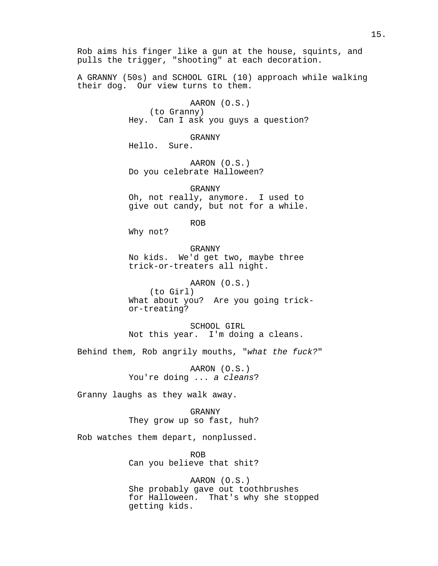Rob aims his finger like a gun at the house, squints, and pulls the trigger, "shooting" at each decoration.

A GRANNY (50s) and SCHOOL GIRL (10) approach while walking their dog. Our view turns to them.

> AARON (O.S.) (to Granny) Hey. Can I ask you guys a question?

> > GRANNY

Hello. Sure.

AARON (O.S.) Do you celebrate Halloween?

GRANNY

Oh, not really, anymore. I used to give out candy, but not for a while.

ROB

Why not?

GRANNY No kids. We'd get two, maybe three trick-or-treaters all night.

AARON (O.S.) (to Girl) What about you? Are you going trickor-treating?

SCHOOL GIRL Not this year. I'm doing a cleans.

Behind them, Rob angrily mouths, "what the fuck?"

AARON (O.S.) You're doing ... a cleans?

Granny laughs as they walk away.

GRANNY They grow up so fast, huh?

Rob watches them depart, nonplussed.

ROB Can you believe that shit?

AARON (O.S.) She probably gave out toothbrushes for Halloween. That's why she stopped getting kids.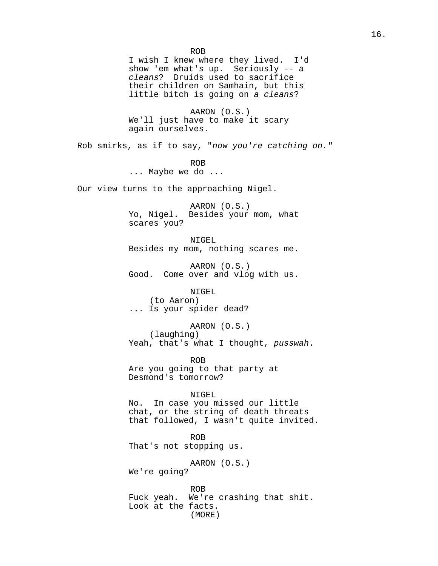ROB I wish I knew where they lived. I'd show 'em what's up. Seriously -- a cleans? Druids used to sacrifice their children on Samhain, but this little bitch is going on a cleans? AARON (O.S.) We'll just have to make it scary again ourselves. Rob smirks, as if to say, "now you're catching on." ROB ... Maybe we do ... Our view turns to the approaching Nigel. AARON (O.S.) Yo, Nigel. Besides your mom, what scares you? NIGEL Besides my mom, nothing scares me. AARON (O.S.) Good. Come over and vlog with us. NIGEL (to Aaron) ... Is your spider dead? AARON (O.S.) (laughing) Yeah, that's what I thought, pusswah. ROB Are you going to that party at Desmond's tomorrow? NIGEL. No. In case you missed our little chat, or the string of death threats that followed, I wasn't quite invited. ROB That's not stopping us. AARON (O.S.) We're going?

> ROB Fuck yeah. We're crashing that shit. Look at the facts. (MORE)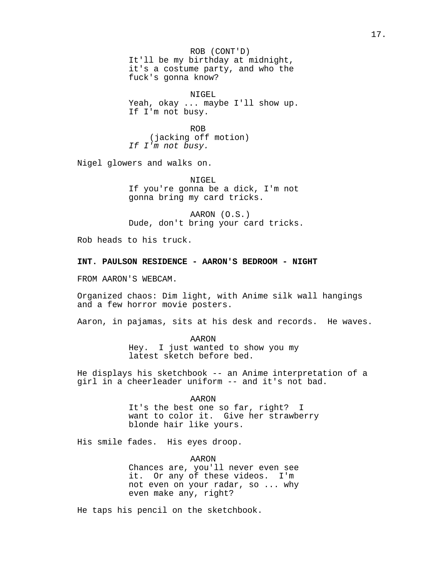ROB (CONT'D) It'll be my birthday at midnight, it's a costume party, and who the fuck's gonna know?

NIGEL Yeah, okay ... maybe I'll show up. If I'm not busy.

ROB (jacking off motion) If I'm not busy.

Nigel glowers and walks on.

NIGEL If you're gonna be a dick, I'm not gonna bring my card tricks.

AARON (O.S.) Dude, don't bring your card tricks.

Rob heads to his truck.

#### **INT. PAULSON RESIDENCE - AARON'S BEDROOM - NIGHT**

FROM AARON'S WEBCAM.

Organized chaos: Dim light, with Anime silk wall hangings and a few horror movie posters.

Aaron, in pajamas, sits at his desk and records. He waves.

#### AARON

Hey. I just wanted to show you my latest sketch before bed.

He displays his sketchbook -- an Anime interpretation of a girl in a cheerleader uniform -- and it's not bad.

#### AARON

It's the best one so far, right? I want to color it. Give her strawberry blonde hair like yours.

His smile fades. His eyes droop.

### AARON

Chances are, you'll never even see it. Or any of these videos. I'm not even on your radar, so ... why even make any, right?

He taps his pencil on the sketchbook.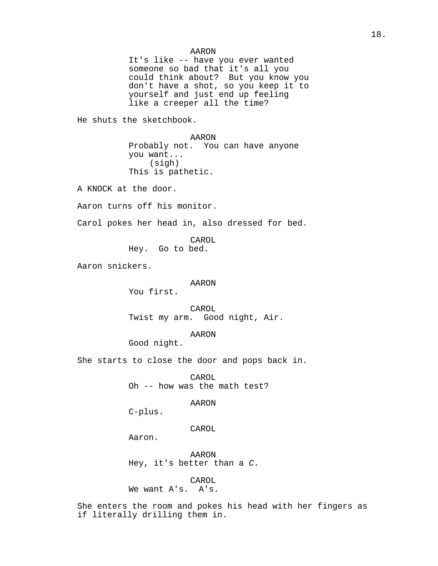### AARON

It's like -- have you ever wanted someone so bad that it's all you could think about? But you know you don't have a shot, so you keep it to yourself and just end up feeling like a creeper all the time?

He shuts the sketchbook.

AARON Probably not. You can have anyone you want... (sigh) This is pathetic.

A KNOCK at the door.

Aaron turns off his monitor.

Carol pokes her head in, also dressed for bed.

CAROL Hey. Go to bed.

Aaron snickers.

# AARON

You first.

CAROL Twist my arm. Good night, Air.

# AARON

Good night.

She starts to close the door and pops back in.

CAROL Oh -- how was the math test?

AARON

C-plus.

# CAROL

Aaron.

AARON Hey, it's better than a  $C$ .

CAROL We want A's. A's.

She enters the room and pokes his head with her fingers as if literally drilling them in.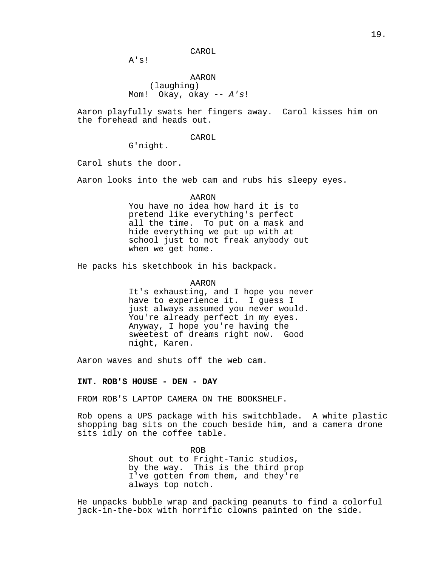CAROL

A's!

AARON (laughing) Mom! Okay, okay -- A's!

Aaron playfully swats her fingers away. Carol kisses him on the forehead and heads out.

CAROL

G'night.

Carol shuts the door.

Aaron looks into the web cam and rubs his sleepy eyes.

AARON

You have no idea how hard it is to pretend like everything's perfect all the time. To put on a mask and hide everything we put up with at school just to not freak anybody out when we get home.

He packs his sketchbook in his backpack.

### AARON

It's exhausting, and I hope you never have to experience it. I guess I just always assumed you never would. You're already perfect in my eyes. Anyway, I hope you're having the sweetest of dreams right now. Good night, Karen.

Aaron waves and shuts off the web cam.

### **INT. ROB'S HOUSE - DEN - DAY**

FROM ROB'S LAPTOP CAMERA ON THE BOOKSHELF.

Rob opens a UPS package with his switchblade. A white plastic shopping bag sits on the couch beside him, and a camera drone sits idly on the coffee table.

> ROB Shout out to Fright-Tanic studios, by the way. This is the third prop I've gotten from them, and they're always top notch.

He unpacks bubble wrap and packing peanuts to find a colorful jack-in-the-box with horrific clowns painted on the side.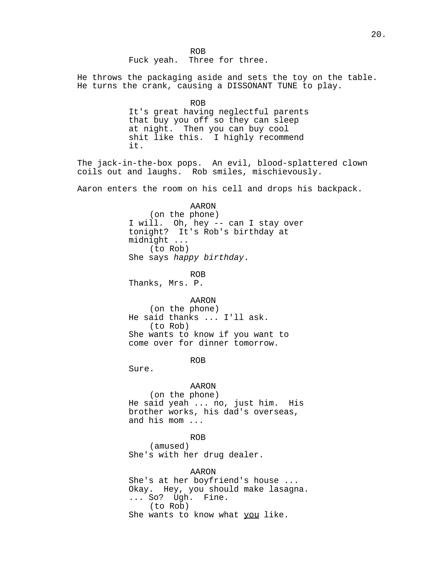ROB Fuck yeah. Three for three. He throws the packaging aside and sets the toy on the table. He turns the crank, causing a DISSONANT TUNE to play. ROB It's great having neglectful parents that buy you off so they can sleep at night. Then you can buy cool shit like this. I highly recommend it. The jack-in-the-box pops. An evil, blood-splattered clown coils out and laughs. Rob smiles, mischievously. Aaron enters the room on his cell and drops his backpack. AARON (on the phone) I will. Oh, hey -- can I stay over tonight? It's Rob's birthday at midnight ... (to Rob) She says happy birthday. ROB Thanks, Mrs. P. AARON (on the phone) He said thanks ... I'll ask. (to Rob) She wants to know if you want to come over for dinner tomorrow. ROB Sure. AARON (on the phone) He said yeah ... no, just him. His brother works, his dad's overseas, and his mom ... ROB (amused) She's with her drug dealer. AARON She's at her boyfriend's house ...

Okay. Hey, you should make lasagna. ... So? Ugh. Fine. (to Rob) She wants to know what you like.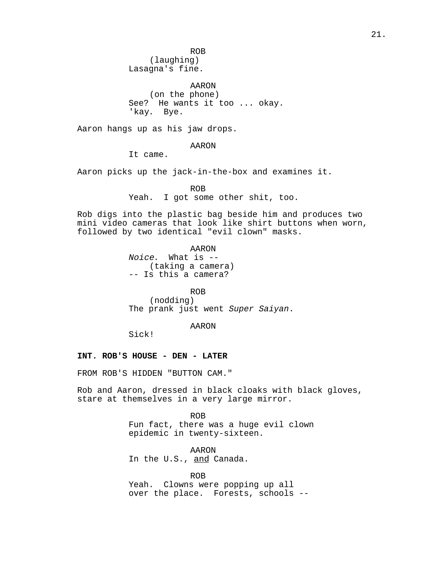21.

ROB (laughing)

Lasagna's fine.

AARON (on the phone) See? He wants it too ... okay. 'kay. Bye.

Aaron hangs up as his jaw drops.

# AARON

It came.

Aaron picks up the jack-in-the-box and examines it.

ROB

Yeah. I got some other shit, too.

Rob digs into the plastic bag beside him and produces two mini video cameras that look like shirt buttons when worn, followed by two identical "evil clown" masks.

> AARON Noice. What is -- (taking a camera) -- Is this a camera?

ROB (nodding) The prank just went Super Saiyan.

# AARON

Sick!

# **INT. ROB'S HOUSE - DEN - LATER**

FROM ROB'S HIDDEN "BUTTON CAM."

Rob and Aaron, dressed in black cloaks with black gloves, stare at themselves in a very large mirror.

> ROB Fun fact, there was a huge evil clown epidemic in twenty-sixteen.

AARON In the U.S., and Canada.

ROB Yeah. Clowns were popping up all over the place. Forests, schools --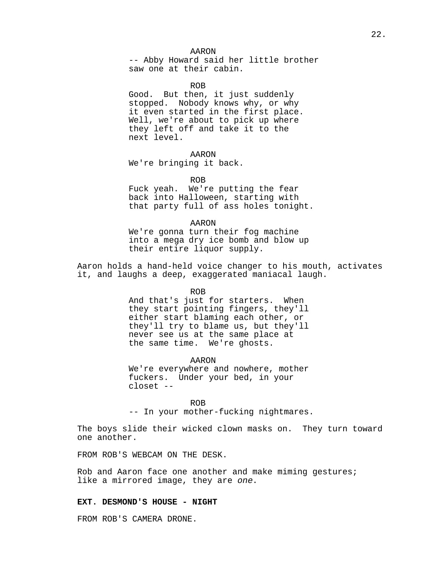AARON -- Abby Howard said her little brother saw one at their cabin.

ROB

Good. But then, it just suddenly stopped. Nobody knows why, or why it even started in the first place. Well, we're about to pick up where they left off and take it to the next level.

AARON We're bringing it back.

ROB

Fuck yeah. We're putting the fear back into Halloween, starting with that party full of ass holes tonight.

AARON

We're gonna turn their fog machine into a mega dry ice bomb and blow up their entire liquor supply.

Aaron holds a hand-held voice changer to his mouth, activates it, and laughs a deep, exaggerated maniacal laugh.

ROB

And that's just for starters. When they start pointing fingers, they'll either start blaming each other, or they'll try to blame us, but they'll never see us at the same place at the same time. We're ghosts.

AARON

We're everywhere and nowhere, mother fuckers. Under your bed, in your closet --

ROB -- In your mother-fucking nightmares.

The boys slide their wicked clown masks on. They turn toward one another.

FROM ROB'S WEBCAM ON THE DESK.

Rob and Aaron face one another and make miming gestures; like a mirrored image, they are one.

### **EXT. DESMOND'S HOUSE - NIGHT**

FROM ROB'S CAMERA DRONE.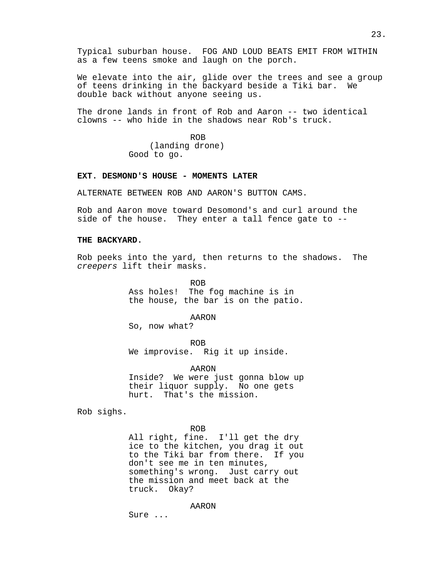We elevate into the air, glide over the trees and see a group of teens drinking in the backyard beside a Tiki bar. We double back without anyone seeing us.

The drone lands in front of Rob and Aaron -- two identical clowns -- who hide in the shadows near Rob's truck.

> ROB (landing drone) Good to go.

as a few teens smoke and laugh on the porch.

## **EXT. DESMOND'S HOUSE - MOMENTS LATER**

ALTERNATE BETWEEN ROB AND AARON'S BUTTON CAMS.

Rob and Aaron move toward Desomond's and curl around the side of the house. They enter a tall fence gate to --

## **THE BACKYARD.**

Rob peeks into the yard, then returns to the shadows. The creepers lift their masks.

ROB

Ass holes! The fog machine is in the house, the bar is on the patio.

AARON So, now what?

ROB We improvise. Rig it up inside.

AARON Inside? We were just gonna blow up their liquor supply. No one gets hurt. That's the mission.

Rob sighs.

ROB

All right, fine. I'll get the dry ice to the kitchen, you drag it out to the Tiki bar from there. If you don't see me in ten minutes, something's wrong. Just carry out the mission and meet back at the truck. Okay?

AARON

Sure ...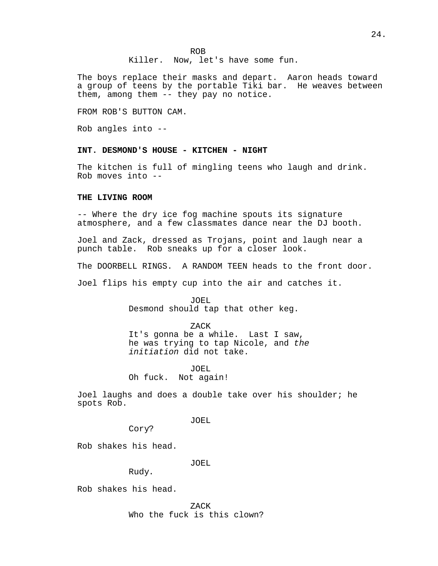ROB

Killer. Now, let's have some fun.

The boys replace their masks and depart. Aaron heads toward a group of teens by the portable Tiki bar. He weaves between them, among them -- they pay no notice.

FROM ROB'S BUTTON CAM.

Rob angles into --

**INT. DESMOND'S HOUSE - KITCHEN - NIGHT**

The kitchen is full of mingling teens who laugh and drink. Rob moves into --

### **THE LIVING ROOM**

-- Where the dry ice fog machine spouts its signature atmosphere, and a few classmates dance near the DJ booth.

Joel and Zack, dressed as Trojans, point and laugh near a punch table. Rob sneaks up for a closer look.

The DOORBELL RINGS. A RANDOM TEEN heads to the front door.

Joel flips his empty cup into the air and catches it.

JOEL Desmond should tap that other keg.

ZACK

It's gonna be a while. Last I saw, he was trying to tap Nicole, and the initiation did not take.

JOEL Oh fuck. Not again!

Joel laughs and does a double take over his shoulder; he spots Rob.

JOEL

Cory?

Rob shakes his head.

JOEL

Rudy.

Rob shakes his head.

ZACK Who the fuck is this clown?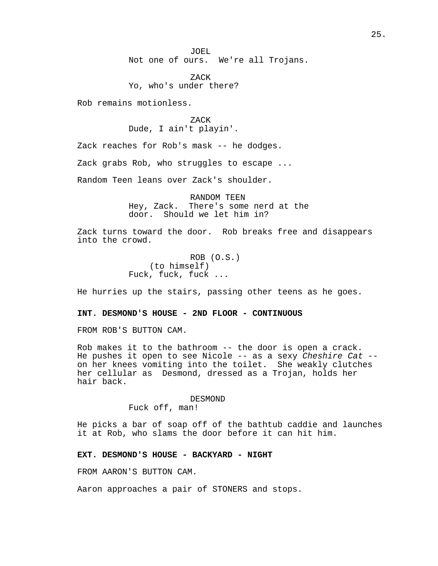JOEL Not one of ours. We're all Trojans.

ZACK Yo, who's under there?

Rob remains motionless.

ZACK Dude, I ain't playin'.

Zack reaches for Rob's mask -- he dodges. Zack grabs Rob, who struggles to escape ... Random Teen leans over Zack's shoulder.

> RANDOM TEEN Hey, Zack. There's some nerd at the door. Should we let him in?

Zack turns toward the door. Rob breaks free and disappears into the crowd.

> ROB (O.S.) (to himself) Fuck, fuck, fuck ...

He hurries up the stairs, passing other teens as he goes.

## **INT. DESMOND'S HOUSE - 2ND FLOOR - CONTINUOUS**

FROM ROB'S BUTTON CAM.

Rob makes it to the bathroom -- the door is open a crack. He pushes it open to see Nicole  $-$ - as a sexy Cheshire Cat  $-$ on her knees vomiting into the toilet. She weakly clutches her cellular as Desmond, dressed as a Trojan, holds her hair back.

#### DESMOND

Fuck off, man!

He picks a bar of soap off of the bathtub caddie and launches it at Rob, who slams the door before it can hit him.

#### **EXT. DESMOND'S HOUSE - BACKYARD - NIGHT**

FROM AARON'S BUTTON CAM.

Aaron approaches a pair of STONERS and stops.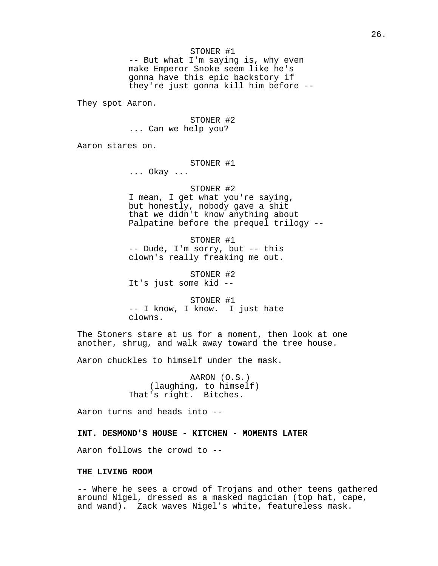# STONER #1

-- But what I'm saying is, why even make Emperor Snoke seem like he's gonna have this epic backstory if they're just gonna kill him before --

They spot Aaron.

STONER #2 ... Can we help you?

Aaron stares on.

STONER #1

... Okay ...

### STONER #2

I mean, I get what you're saying, but honestly, nobody gave a shit that we didn't know anything about Palpatine before the prequel trilogy --

STONER #1 -- Dude, I'm sorry, but -- this clown's really freaking me out.

STONER #2 It's just some kid --

STONER #1 -- I know, I know. I just hate clowns.

The Stoners stare at us for a moment, then look at one another, shrug, and walk away toward the tree house.

Aaron chuckles to himself under the mask.

AARON (O.S.) (laughing, to himself) That's right. Bitches.

Aaron turns and heads into --

# **INT. DESMOND'S HOUSE - KITCHEN - MOMENTS LATER**

Aaron follows the crowd to --

### **THE LIVING ROOM**

-- Where he sees a crowd of Trojans and other teens gathered around Nigel, dressed as a masked magician (top hat, cape, and wand). Zack waves Nigel's white, featureless mask.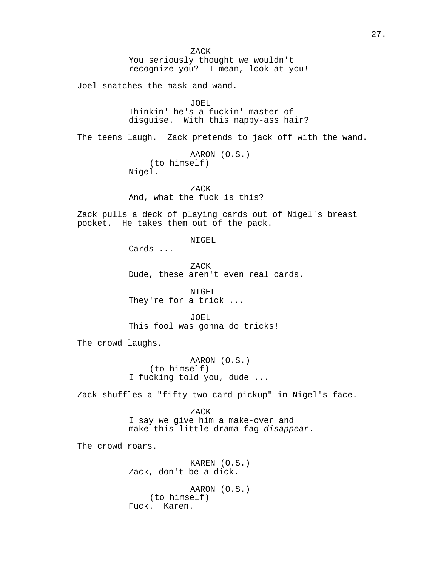ZACK You seriously thought we wouldn't recognize you? I mean, look at you!

Joel snatches the mask and wand.

JOEL Thinkin' he's a fuckin' master of disguise. With this nappy-ass hair?

The teens laugh. Zack pretends to jack off with the wand.

AARON (O.S.) (to himself) Nigel.

ZACK And, what the fuck is this?

Zack pulls a deck of playing cards out of Nigel's breast pocket. He takes them out of the pack.

NIGEL

Cards ...

ZACK Dude, these aren't even real cards.

NIGEL They're for a trick ...

JOEL This fool was gonna do tricks!

The crowd laughs.

AARON (O.S.) (to himself) I fucking told you, dude ...

Zack shuffles a "fifty-two card pickup" in Nigel's face.

ZACK I say we give him a make-over and make this little drama fag disappear.

The crowd roars.

KAREN (O.S.) Zack, don't be a dick. AARON (O.S.) (to himself) Fuck. Karen.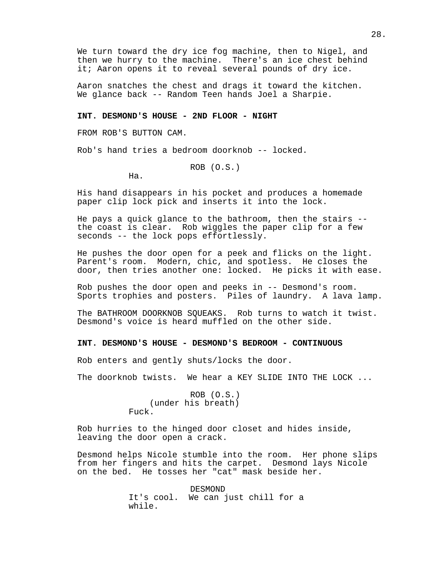We turn toward the dry ice fog machine, then to Nigel, and then we hurry to the machine. There's an ice chest behind it; Aaron opens it to reveal several pounds of dry ice.

Aaron snatches the chest and drags it toward the kitchen. We glance back -- Random Teen hands Joel a Sharpie.

### **INT. DESMOND'S HOUSE - 2ND FLOOR - NIGHT**

FROM ROB'S BUTTON CAM.

Rob's hand tries a bedroom doorknob -- locked.

ROB (O.S.)

Ha.

His hand disappears in his pocket and produces a homemade paper clip lock pick and inserts it into the lock.

He pays a quick glance to the bathroom, then the stairs - the coast is clear. Rob wiggles the paper clip for a few seconds -- the lock pops effortlessly.

He pushes the door open for a peek and flicks on the light. Parent's room. Modern, chic, and spotless. He closes the door, then tries another one: locked. He picks it with ease.

Rob pushes the door open and peeks in -- Desmond's room. Sports trophies and posters. Piles of laundry. A lava lamp.

The BATHROOM DOORKNOB SOUEAKS. Rob turns to watch it twist. Desmond's voice is heard muffled on the other side.

### **INT. DESMOND'S HOUSE - DESMOND'S BEDROOM - CONTINUOUS**

Rob enters and gently shuts/locks the door.

The doorknob twists. We hear a KEY SLIDE INTO THE LOCK ...

ROB (O.S.) (under his breath) Fuck.

Rob hurries to the hinged door closet and hides inside, leaving the door open a crack.

Desmond helps Nicole stumble into the room. Her phone slips from her fingers and hits the carpet. Desmond lays Nicole on the bed. He tosses her "cat" mask beside her.

> DESMOND It's cool. We can just chill for a while.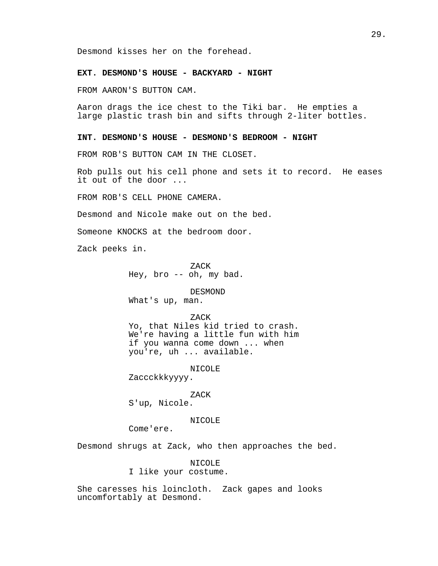Desmond kisses her on the forehead.

# **EXT. DESMOND'S HOUSE - BACKYARD - NIGHT**

FROM AARON'S BUTTON CAM.

Aaron drags the ice chest to the Tiki bar. He empties a large plastic trash bin and sifts through 2-liter bottles.

**INT. DESMOND'S HOUSE - DESMOND'S BEDROOM - NIGHT**

FROM ROB'S BUTTON CAM IN THE CLOSET.

Rob pulls out his cell phone and sets it to record. He eases it out of the door ...

FROM ROB'S CELL PHONE CAMERA.

Desmond and Nicole make out on the bed.

Someone KNOCKS at the bedroom door.

Zack peeks in.

ZACK Hey, bro -- oh, my bad.

DESMOND What's up, man.

### ZACK

Yo, that Niles kid tried to crash. We're having a little fun with him if you wanna come down ... when you're, uh ... available.

NICOLE

Zaccckkkyyyy.

ZACK

S'up, Nicole.

NICOLE

Come'ere.

Desmond shrugs at Zack, who then approaches the bed.

NICOLE I like your costume.

She caresses his loincloth. Zack gapes and looks uncomfortably at Desmond.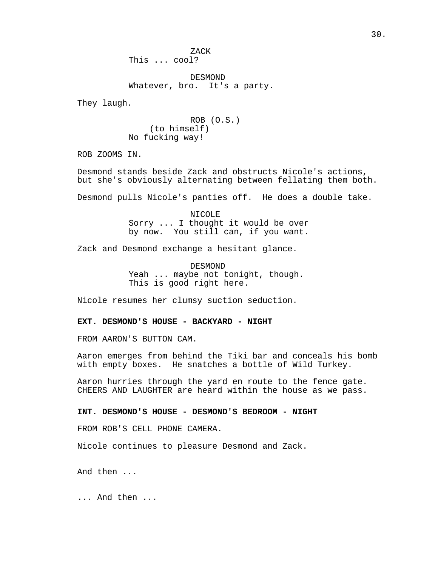ZACK This ... cool?

DESMOND Whatever, bro. It's a party.

They laugh.

ROB (O.S.) (to himself) No fucking way!

ROB ZOOMS IN.

Desmond stands beside Zack and obstructs Nicole's actions, but she's obviously alternating between fellating them both.

Desmond pulls Nicole's panties off. He does a double take.

NICOLE Sorry ... I thought it would be over by now. You still can, if you want.

Zack and Desmond exchange a hesitant glance.

DESMOND Yeah ... maybe not tonight, though. This is good right here.

Nicole resumes her clumsy suction seduction.

#### **EXT. DESMOND'S HOUSE - BACKYARD - NIGHT**

FROM AARON'S BUTTON CAM.

Aaron emerges from behind the Tiki bar and conceals his bomb with empty boxes. He snatches a bottle of Wild Turkey.

Aaron hurries through the yard en route to the fence gate. CHEERS AND LAUGHTER are heard within the house as we pass.

### **INT. DESMOND'S HOUSE - DESMOND'S BEDROOM - NIGHT**

FROM ROB'S CELL PHONE CAMERA.

Nicole continues to pleasure Desmond and Zack.

And then ...

... And then ...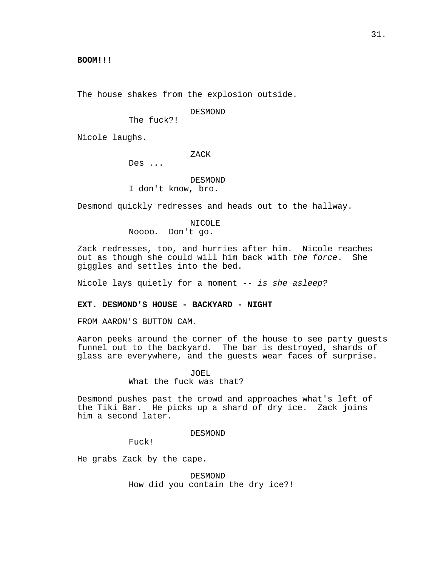**BOOM!!!**

The house shakes from the explosion outside.

DESMOND

The fuck?!

Nicole laughs.

ZACK

Des ...

DESMOND I don't know, bro.

Desmond quickly redresses and heads out to the hallway.

NICOLE Noooo. Don't go.

Zack redresses, too, and hurries after him. Nicole reaches out as though she could will him back with the force. She giggles and settles into the bed.

Nicole lays quietly for a moment -- is she asleep?

## **EXT. DESMOND'S HOUSE - BACKYARD - NIGHT**

FROM AARON'S BUTTON CAM.

Aaron peeks around the corner of the house to see party guests funnel out to the backyard. The bar is destroyed, shards of glass are everywhere, and the guests wear faces of surprise.

> JOEL What the fuck was that?

Desmond pushes past the crowd and approaches what's left of the Tiki Bar. He picks up a shard of dry ice. Zack joins him a second later.

DESMOND

Fuck!

He grabs Zack by the cape.

DESMOND How did you contain the dry ice?!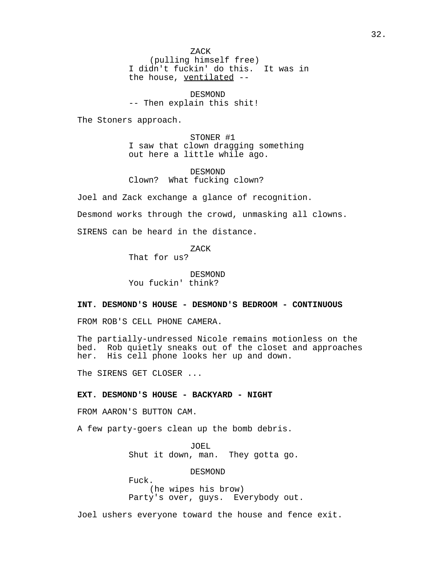ZACK (pulling himself free) I didn't fuckin' do this. It was in the house, ventilated --

DESMOND -- Then explain this shit!

The Stoners approach.

STONER #1 I saw that clown dragging something out here a little while ago.

DESMOND Clown? What fucking clown?

Joel and Zack exchange a glance of recognition.

Desmond works through the crowd, unmasking all clowns.

SIRENS can be heard in the distance.

ZACK

That for us?

DESMOND You fuckin' think?

**INT. DESMOND'S HOUSE - DESMOND'S BEDROOM - CONTINUOUS**

FROM ROB'S CELL PHONE CAMERA.

The partially-undressed Nicole remains motionless on the bed. Rob quietly sneaks out of the closet and approaches her. His cell phone looks her up and down.

The SIRENS GET CLOSER ...

### **EXT. DESMOND'S HOUSE - BACKYARD - NIGHT**

FROM AARON'S BUTTON CAM.

Fuck.

A few party-goers clean up the bomb debris.

JOEL Shut it down, man. They gotta go.

DESMOND

(he wipes his brow) Party's over, guys. Everybody out.

Joel ushers everyone toward the house and fence exit.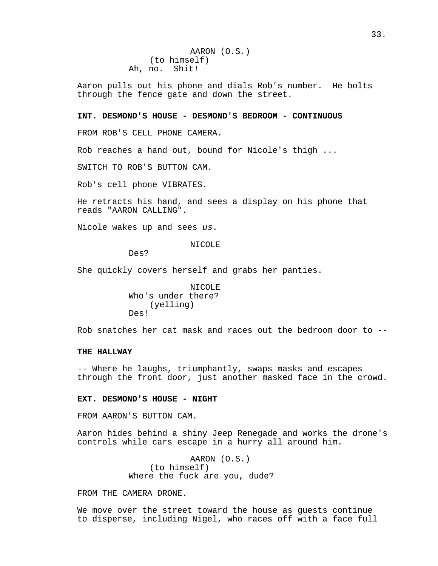AARON (O.S.) (to himself) Ah, no. Shit!

Aaron pulls out his phone and dials Rob's number. He bolts through the fence gate and down the street.

### **INT. DESMOND'S HOUSE - DESMOND'S BEDROOM - CONTINUOUS**

FROM ROB'S CELL PHONE CAMERA.

Rob reaches a hand out, bound for Nicole's thigh ...

SWITCH TO ROB'S BUTTON CAM.

Rob's cell phone VIBRATES.

He retracts his hand, and sees a display on his phone that reads "AARON CALLING".

Nicole wakes up and sees us.

NICOLE

Des?

She quickly covers herself and grabs her panties.

NICOLE Who's under there? (yelling) Des!

Rob snatches her cat mask and races out the bedroom door to --

## **THE HALLWAY**

-- Where he laughs, triumphantly, swaps masks and escapes through the front door, just another masked face in the crowd.

### **EXT. DESMOND'S HOUSE - NIGHT**

FROM AARON'S BUTTON CAM.

Aaron hides behind a shiny Jeep Renegade and works the drone's controls while cars escape in a hurry all around him.

> AARON (O.S.) (to himself) Where the fuck are you, dude?

FROM THE CAMERA DRONE.

We move over the street toward the house as guests continue to disperse, including Nigel, who races off with a face full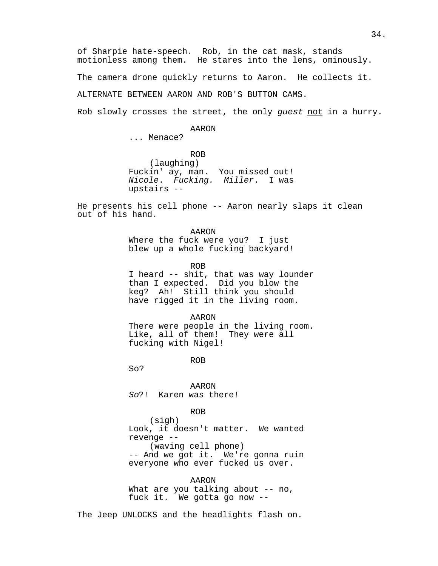of Sharpie hate-speech. Rob, in the cat mask, stands motionless among them. He stares into the lens, ominously.

The camera drone quickly returns to Aaron. He collects it.

ALTERNATE BETWEEN AARON AND ROB'S BUTTON CAMS.

Rob slowly crosses the street, the only quest not in a hurry.

AARON

... Menace?

ROB (laughing) Fuckin' ay, man. You missed out! Nicole. Fucking. Miller. I was upstairs --

He presents his cell phone -- Aaron nearly slaps it clean out of his hand.

> AARON Where the fuck were you? I just blew up a whole fucking backyard!

> > ROB

I heard -- shit, that was way lounder than I expected. Did you blow the keg? Ah! Still think you should have rigged it in the living room.

AARON

There were people in the living room. Like, all of them! They were all fucking with Nigel!

ROB

So?

AARON So?! Karen was there!

ROB

(sigh) Look, it doesn't matter. We wanted revenge -- (waving cell phone) -- And we got it. We're gonna ruin everyone who ever fucked us over.

AARON What are you talking about -- no, fuck it. We gotta go now --

The Jeep UNLOCKS and the headlights flash on.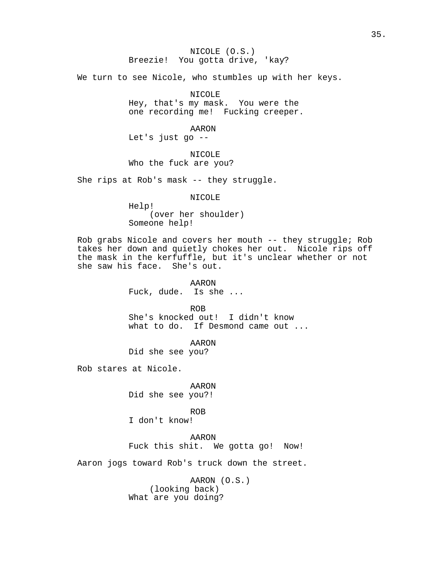# NICOLE (O.S.) Breezie! You gotta drive, 'kay?

We turn to see Nicole, who stumbles up with her keys.

NICOLE Hey, that's my mask. You were the one recording me! Fucking creeper.

AARON Let's just go --

NICOLE Who the fuck are you?

She rips at Rob's mask -- they struggle.

NICOLE

Help! (over her shoulder) Someone help!

Rob grabs Nicole and covers her mouth -- they struggle; Rob takes her down and quietly chokes her out. Nicole rips off the mask in the kerfuffle, but it's unclear whether or not she saw his face. She's out.

> AARON Fuck, dude. Is she ...

> > ROB

She's knocked out! I didn't know what to do. If Desmond came out ...

AARON Did she see you?

Rob stares at Nicole.

AARON Did she see you?!

ROB

I don't know!

AARON Fuck this shit. We gotta go! Now!

Aaron jogs toward Rob's truck down the street.

AARON (O.S.) (looking back) What are you doing?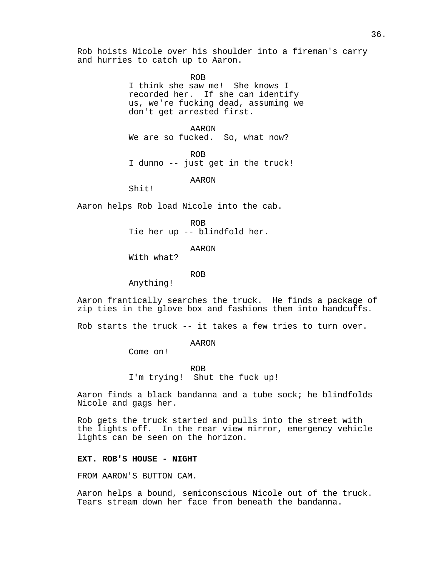Rob hoists Nicole over his shoulder into a fireman's carry and hurries to catch up to Aaron.

> ROB I think she saw me! She knows I recorded her. If she can identify us, we're fucking dead, assuming we don't get arrested first.

AARON We are so fucked. So, what now?

ROB I dunno -- just get in the truck!

AARON

Shit!

Aaron helps Rob load Nicole into the cab.

ROB Tie her up -- blindfold her.

AARON

With what?

ROB

Anything!

Aaron frantically searches the truck. He finds a package of zip ties in the glove box and fashions them into handcuffs.

Rob starts the truck -- it takes a few tries to turn over.

AARON

Come on!

ROB I'm trying! Shut the fuck up!

Aaron finds a black bandanna and a tube sock; he blindfolds Nicole and gags her.

Rob gets the truck started and pulls into the street with the lights off. In the rear view mirror, emergency vehicle lights can be seen on the horizon.

## **EXT. ROB'S HOUSE - NIGHT**

FROM AARON'S BUTTON CAM.

Aaron helps a bound, semiconscious Nicole out of the truck. Tears stream down her face from beneath the bandanna.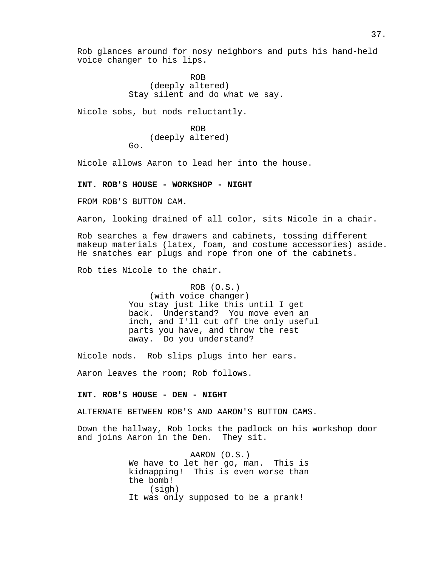Rob glances around for nosy neighbors and puts his hand-held voice changer to his lips.

> ROB (deeply altered) Stay silent and do what we say.

Nicole sobs, but nods reluctantly.

ROB (deeply altered) Go.

Nicole allows Aaron to lead her into the house.

**INT. ROB'S HOUSE - WORKSHOP - NIGHT**

FROM ROB'S BUTTON CAM.

Aaron, looking drained of all color, sits Nicole in a chair.

Rob searches a few drawers and cabinets, tossing different makeup materials (latex, foam, and costume accessories) aside. He snatches ear plugs and rope from one of the cabinets.

Rob ties Nicole to the chair.

ROB (O.S.) (with voice changer) You stay just like this until I get back. Understand? You move even an inch, and I'll cut off the only useful parts you have, and throw the rest away. Do you understand?

Nicole nods. Rob slips plugs into her ears.

Aaron leaves the room; Rob follows.

### **INT. ROB'S HOUSE - DEN - NIGHT**

ALTERNATE BETWEEN ROB'S AND AARON'S BUTTON CAMS.

Down the hallway, Rob locks the padlock on his workshop door and joins Aaron in the Den. They sit.

> AARON (O.S.) We have to let her go, man. This is kidnapping! This is even worse than the bomb! (sigh) It was only supposed to be a prank!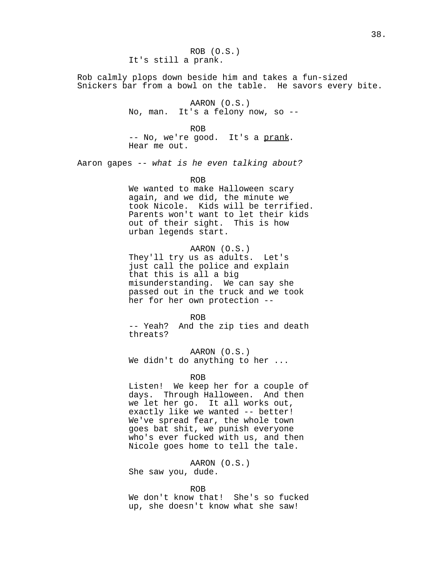ROB (O.S.) It's still a prank.

Rob calmly plops down beside him and takes a fun-sized Snickers bar from a bowl on the table. He savors every bite.

> AARON (O.S.) No, man. It's a felony now, so --

ROB -- No, we're good. It's a prank. Hear me out.

Aaron gapes -- what is he even talking about?

ROB

We wanted to make Halloween scary again, and we did, the minute we took Nicole. Kids will be terrified. Parents won't want to let their kids out of their sight. This is how urban legends start.

### AARON (O.S.)

They'll try us as adults. Let's just call the police and explain that this is all a big misunderstanding. We can say she passed out in the truck and we took her for her own protection --

ROB

-- Yeah? And the zip ties and death threats?

AARON (O.S.) We didn't do anything to her ...

### ROB

Listen! We keep her for a couple of days. Through Halloween. And then we let her go. It all works out, exactly like we wanted -- better! We've spread fear, the whole town goes bat shit, we punish everyone who's ever fucked with us, and then Nicole goes home to tell the tale.

AARON (O.S.) She saw you, dude.

ROB

We don't know that! She's so fucked up, she doesn't know what she saw!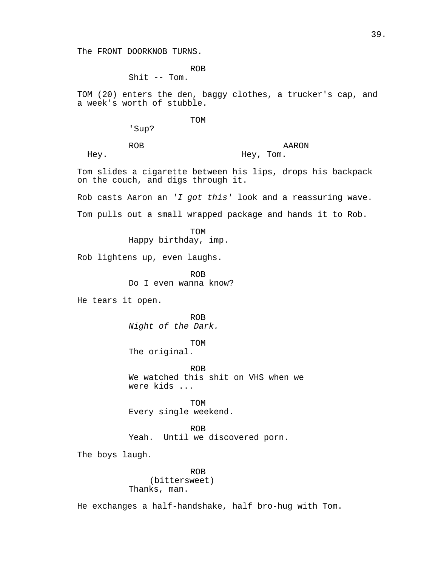ROB

Shit -- Tom.

TOM (20) enters the den, baggy clothes, a trucker's cap, and a week's worth of stubble.

TOM

'Sup?

ROB Hey.

AARON Hey, Tom.

Tom slides a cigarette between his lips, drops his backpack on the couch, and digs through it.

Rob casts Aaron an 'I got this' look and a reassuring wave.

Tom pulls out a small wrapped package and hands it to Rob.

TOM Happy birthday, imp.

Rob lightens up, even laughs.

ROB Do I even wanna know?

He tears it open.

ROB Night of the Dark.

TOM

The original.

ROB We watched this shit on VHS when we were kids ...

TOM Every single weekend.

ROB Yeah. Until we discovered porn.

The boys laugh.

ROB (bittersweet) Thanks, man.

He exchanges a half-handshake, half bro-hug with Tom.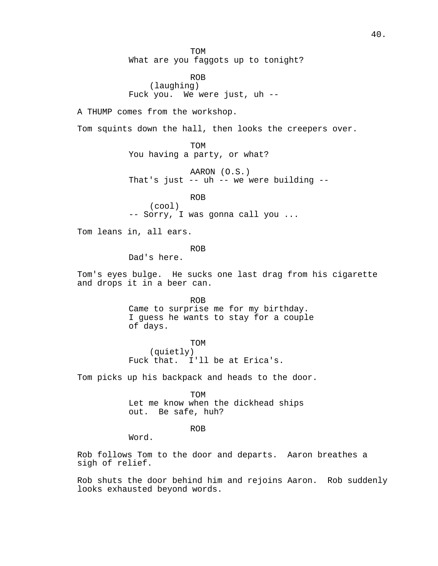TOM What are you faggots up to tonight? ROB (laughing) Fuck you. We were just, uh -- A THUMP comes from the workshop. Tom squints down the hall, then looks the creepers over. TOM You having a party, or what? AARON (O.S.) That's just -- uh -- we were building -- ROB (cool) -- Sorry, I was gonna call you ... Tom leans in, all ears. ROB Dad's here. Tom's eyes bulge. He sucks one last drag from his cigarette and drops it in a beer can. ROB Came to surprise me for my birthday. I guess he wants to stay for a couple of days. TOM (quietly) Fuck that. I'll be at Erica's. Tom picks up his backpack and heads to the door. TOM Let me know when the dickhead ships out. Be safe, huh? ROB Word. Rob follows Tom to the door and departs. Aaron breathes a sigh of relief.

Rob shuts the door behind him and rejoins Aaron. Rob suddenly looks exhausted beyond words.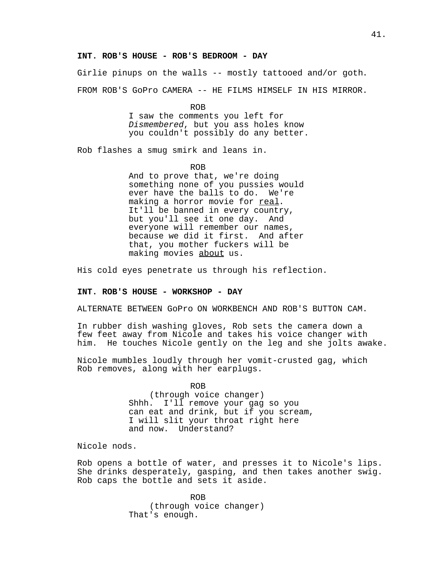### **INT. ROB'S HOUSE - ROB'S BEDROOM - DAY**

Girlie pinups on the walls -- mostly tattooed and/or goth.

FROM ROB'S GoPro CAMERA -- HE FILMS HIMSELF IN HIS MIRROR.

ROB

I saw the comments you left for Dismembered, but you ass holes know you couldn't possibly do any better.

Rob flashes a smug smirk and leans in.

ROB

And to prove that, we're doing something none of you pussies would ever have the balls to do. We're making a horror movie for real. It'll be banned in every country, but you'll see it one day. And everyone will remember our names, because we did it first. And after that, you mother fuckers will be making movies about us.

His cold eyes penetrate us through his reflection.

### **INT. ROB'S HOUSE - WORKSHOP - DAY**

ALTERNATE BETWEEN GoPro ON WORKBENCH AND ROB'S BUTTON CAM.

In rubber dish washing gloves, Rob sets the camera down a few feet away from Nicole and takes his voice changer with him. He touches Nicole gently on the leg and she jolts awake.

Nicole mumbles loudly through her vomit-crusted gag, which Rob removes, along with her earplugs.

> ROB (through voice changer) Shhh. I'll remove your gag so you can eat and drink, but if you scream, I will slit your throat right here and now. Understand?

Nicole nods.

Rob opens a bottle of water, and presses it to Nicole's lips. She drinks desperately, gasping, and then takes another swig. Rob caps the bottle and sets it aside.

> ROB (through voice changer) That's enough.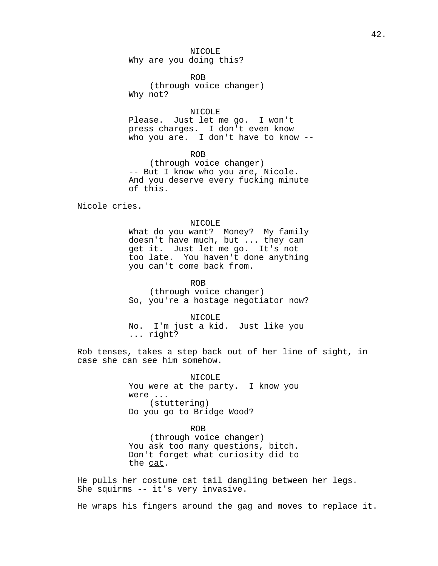### NICOLE

Why are you doing this?

ROB (through voice changer) Why not?

### NICOLE.

Please. Just let me go. I won't press charges. I don't even know who you are. I don't have to know --

ROB (through voice changer) -- But I know who you are, Nicole. And you deserve every fucking minute of this.

Nicole cries.

#### NICOLE

What do you want? Money? My family doesn't have much, but ... they can get it. Just let me go. It's not too late. You haven't done anything you can't come back from.

ROB

(through voice changer) So, you're a hostage negotiator now?

NICOLE. No. I'm just a kid. Just like you ... right?

Rob tenses, takes a step back out of her line of sight, in case she can see him somehow.

> NICOLE You were at the party. I know you were ... (stuttering) Do you go to Bridge Wood?

> ROB (through voice changer) You ask too many questions, bitch. Don't forget what curiosity did to the cat.

He pulls her costume cat tail dangling between her legs. She squirms -- it's very invasive.

He wraps his fingers around the gag and moves to replace it.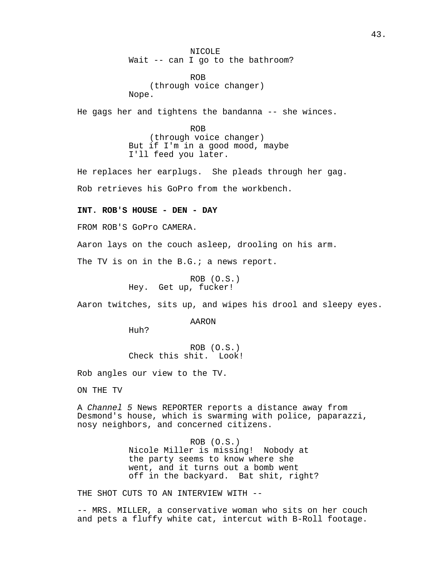NICOLE Wait -- can I go to the bathroom?

ROB (through voice changer) Nope.

He gags her and tightens the bandanna -- she winces.

ROB (through voice changer) But if I'm in a good mood, maybe I'll feed you later.

He replaces her earplugs. She pleads through her gag. Rob retrieves his GoPro from the workbench.

**INT. ROB'S HOUSE - DEN - DAY**

FROM ROB'S GoPro CAMERA.

Aaron lays on the couch asleep, drooling on his arm.

The TV is on in the  $B.G.:$  a news report.

ROB (O.S.) Hey. Get up, fucker!

Aaron twitches, sits up, and wipes his drool and sleepy eyes.

AARON

Huh?

ROB (O.S.) Check this shit. Look!

Rob angles our view to the TV.

ON THE TV

A Channel 5 News REPORTER reports a distance away from Desmond's house, which is swarming with police, paparazzi, nosy neighbors, and concerned citizens.

> ROB (O.S.) Nicole Miller is missing! Nobody at the party seems to know where she went, and it turns out a bomb went off in the backyard. Bat shit, right?

THE SHOT CUTS TO AN INTERVIEW WITH --

-- MRS. MILLER, a conservative woman who sits on her couch and pets a fluffy white cat, intercut with B-Roll footage.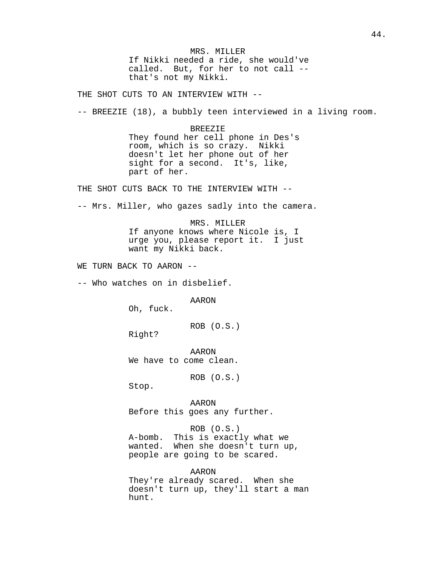MRS. MILLER If Nikki needed a ride, she would've called. But, for her to not call - that's not my Nikki.

THE SHOT CUTS TO AN INTERVIEW WITH --

-- BREEZIE (18), a bubbly teen interviewed in a living room.

BREEZIE They found her cell phone in Des's room, which is so crazy. Nikki doesn't let her phone out of her sight for a second. It's, like, part of her.

THE SHOT CUTS BACK TO THE INTERVIEW WITH --

-- Mrs. Miller, who gazes sadly into the camera.

MRS. MILLER If anyone knows where Nicole is, I urge you, please report it. I just want my Nikki back.

WE TURN BACK TO AARON --

-- Who watches on in disbelief.

AARON

Oh, fuck.

ROB (O.S.)

Right?

AARON We have to come clean.

ROB (O.S.)

Stop.

AARON Before this goes any further.

ROB (O.S.) A-bomb. This is exactly what we wanted. When she doesn't turn up, people are going to be scared.

AARON They're already scared. When she doesn't turn up, they'll start a man hunt.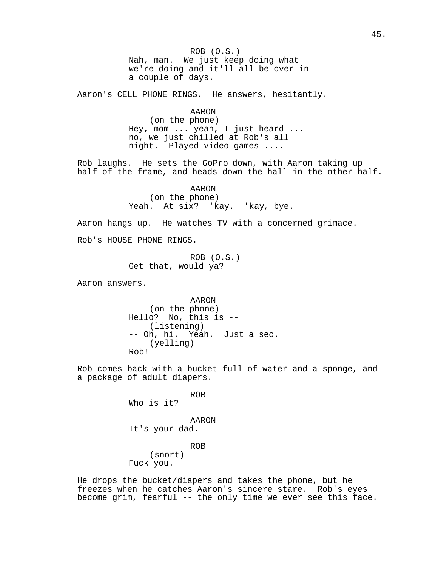ROB (O.S.) Nah, man. We just keep doing what we're doing and it'll all be over in a couple of days. Aaron's CELL PHONE RINGS. He answers, hesitantly. AARON (on the phone) Hey, mom ... yeah, I just heard ... no, we just chilled at Rob's all night. Played video games .... Rob laughs. He sets the GoPro down, with Aaron taking up half of the frame, and heads down the hall in the other half. AARON (on the phone) Yeah. At six? 'kay. 'kay, bye. Aaron hangs up. He watches TV with a concerned grimace. Rob's HOUSE PHONE RINGS. ROB (O.S.) Get that, would ya? Aaron answers. AARON (on the phone) Hello? No, this is -- (listening) -- Oh, hi. Yeah. Just a sec. (yelling) Rob! Rob comes back with a bucket full of water and a sponge, and a package of adult diapers. ROB Who is it? AARON It's your dad. ROB (snort) Fuck you.

He drops the bucket/diapers and takes the phone, but he freezes when he catches Aaron's sincere stare. Rob's eyes become grim, fearful -- the only time we ever see this face.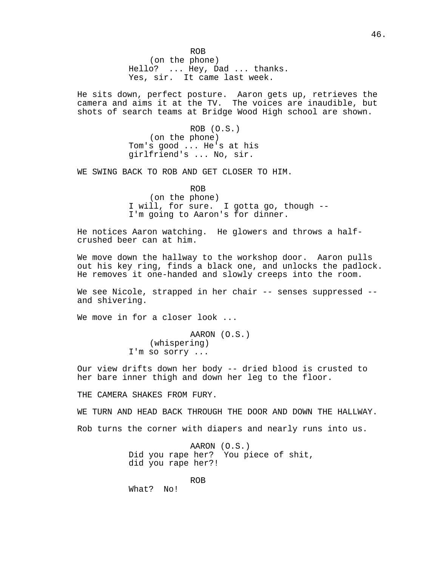ROB (on the phone) Hello? ... Hey, Dad ... thanks. Yes, sir. It came last week.

He sits down, perfect posture. Aaron gets up, retrieves the camera and aims it at the TV. The voices are inaudible, but shots of search teams at Bridge Wood High school are shown.

> ROB (O.S.) (on the phone) Tom's good ... He's at his girlfriend's ... No, sir.

WE SWING BACK TO ROB AND GET CLOSER TO HIM.

ROB

(on the phone) I will, for sure. I gotta go, though -- I'm going to Aaron's for dinner.

He notices Aaron watching. He glowers and throws a halfcrushed beer can at him.

We move down the hallway to the workshop door. Aaron pulls out his key ring, finds a black one, and unlocks the padlock. He removes it one-handed and slowly creeps into the room.

We see Nicole, strapped in her chair -- senses suppressed -and shivering.

We move in for a closer look ...

AARON (O.S.) (whispering) I'm so sorry ...

Our view drifts down her body -- dried blood is crusted to her bare inner thigh and down her leg to the floor.

THE CAMERA SHAKES FROM FURY.

WE TURN AND HEAD BACK THROUGH THE DOOR AND DOWN THE HALLWAY.

Rob turns the corner with diapers and nearly runs into us.

AARON (O.S.) Did you rape her? You piece of shit, did you rape her?!

ROB

What? No!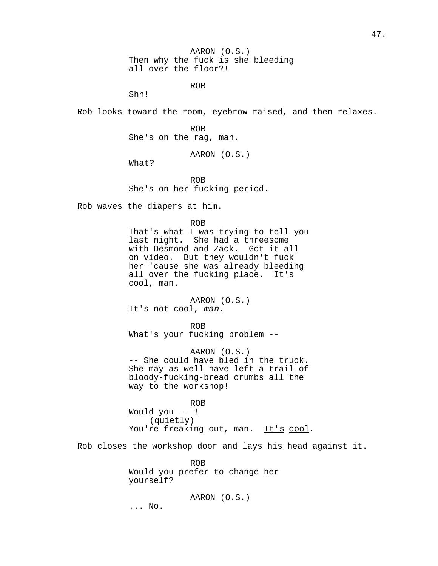AARON (O.S.) Then why the fuck is she bleeding all over the floor?!

ROB

Shh!

Rob looks toward the room, eyebrow raised, and then relaxes.

ROB She's on the rag, man.

AARON (O.S.)

What?

ROB She's on her fucking period.

Rob waves the diapers at him.

ROB

That's what I was trying to tell you last night. She had a threesome with Desmond and Zack. Got it all on video. But they wouldn't fuck her 'cause she was already bleeding all over the fucking place. It's cool, man.

AARON (O.S.) It's not cool, man.

ROB

What's your fucking problem --

AARON (O.S.) -- She could have bled in the truck. She may as well have left a trail of bloody-fucking-bread crumbs all the way to the workshop!

ROB Would you -- ! (quietly) You're freaking out, man. It's cool.

Rob closes the workshop door and lays his head against it.

ROB Would you prefer to change her yourself?

... No.

AARON (O.S.)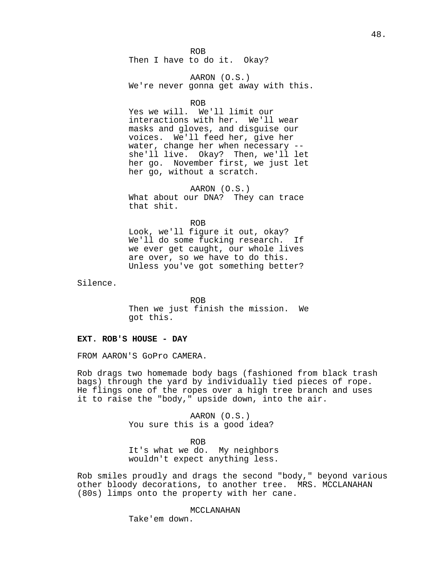ROB Then I have to do it. Okay?

AARON (O.S.) We're never gonna get away with this.

ROB

Yes we will. We'll limit our interactions with her. We'll wear masks and gloves, and disguise our voices. We'll feed her, give her water, change her when necessary - she'll live. Okay? Then, we'll let her go. November first, we just let her go, without a scratch.

AARON (O.S.)

What about our DNA? They can trace that shit.

ROB

Look, we'll figure it out, okay? We'll do some fucking research. If we ever get caught, our whole lives are over, so we have to do this. Unless you've got something better?

Silence.

ROB Then we just finish the mission. We got this.

## **EXT. ROB'S HOUSE - DAY**

FROM AARON'S GoPro CAMERA.

Rob drags two homemade body bags (fashioned from black trash bags) through the yard by individually tied pieces of rope. He flings one of the ropes over a high tree branch and uses it to raise the "body," upside down, into the air.

> AARON (O.S.) You sure this is a good idea?

ROB It's what we do. My neighbors wouldn't expect anything less.

Rob smiles proudly and drags the second "body," beyond various other bloody decorations, to another tree. MRS. MCCLANAHAN (80s) limps onto the property with her cane.

MCCLANAHAN

Take'em down.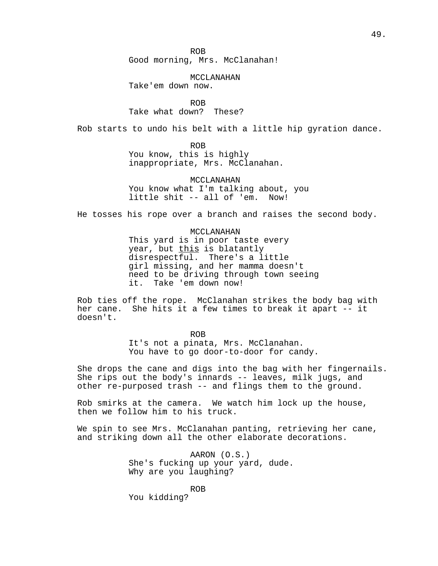ROB Good morning, Mrs. McClanahan!

MCCLANAHAN

Take'em down now.

ROB Take what down? These?

Rob starts to undo his belt with a little hip gyration dance.

ROB You know, this is highly inappropriate, Mrs. McClanahan.

MCCLANAHAN You know what I'm talking about, you little shit -- all of 'em. Now!

He tosses his rope over a branch and raises the second body.

MCCLANAHAN This yard is in poor taste every year, but this is blatantly disrespectful. There's a little girl missing, and her mamma doesn't need to be driving through town seeing it. Take 'em down now!

Rob ties off the rope. McClanahan strikes the body bag with her cane. She hits it a few times to break it apart -- it doesn't.

> ROB It's not a pinata, Mrs. McClanahan. You have to go door-to-door for candy.

She drops the cane and digs into the bag with her fingernails. She rips out the body's innards -- leaves, milk jugs, and other re-purposed trash -- and flings them to the ground.

Rob smirks at the camera. We watch him lock up the house, then we follow him to his truck.

We spin to see Mrs. McClanahan panting, retrieving her cane, and striking down all the other elaborate decorations.

> AARON (O.S.) She's fucking up your yard, dude. Why are you laughing?

> > ROB

You kidding?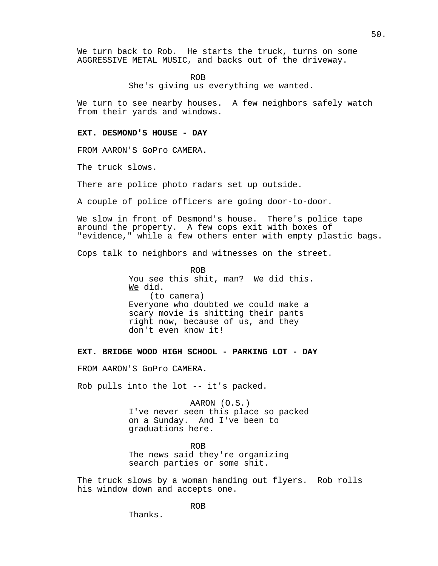We turn back to Rob. He starts the truck, turns on some AGGRESSIVE METAL MUSIC, and backs out of the driveway.

ROB

She's giving us everything we wanted.

We turn to see nearby houses. A few neighbors safely watch from their yards and windows.

### **EXT. DESMOND'S HOUSE - DAY**

FROM AARON'S GoPro CAMERA.

The truck slows.

There are police photo radars set up outside.

A couple of police officers are going door-to-door.

We slow in front of Desmond's house. There's police tape around the property. A few cops exit with boxes of "evidence," while a few others enter with empty plastic bags.

Cops talk to neighbors and witnesses on the street.

ROB You see this shit, man? We did this. We did. (to camera) Everyone who doubted we could make a scary movie is shitting their pants right now, because of us, and they don't even know it!

**EXT. BRIDGE WOOD HIGH SCHOOL - PARKING LOT - DAY**

FROM AARON'S GoPro CAMERA.

Rob pulls into the lot -- it's packed.

AARON (O.S.) I've never seen this place so packed on a Sunday. And I've been to graduations here.

ROB

The news said they're organizing search parties or some shit.

The truck slows by a woman handing out flyers. Rob rolls his window down and accepts one.

ROB

50.

Thanks.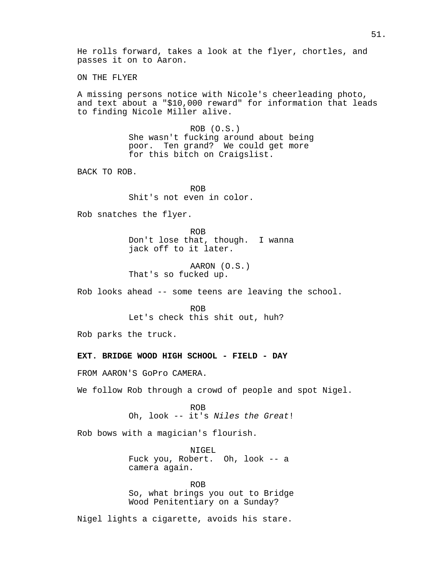He rolls forward, takes a look at the flyer, chortles, and passes it on to Aaron.

ON THE FLYER

A missing persons notice with Nicole's cheerleading photo, and text about a "\$10,000 reward" for information that leads to finding Nicole Miller alive.

> ROB (O.S.) She wasn't fucking around about being poor. Ten grand? We could get more for this bitch on Craigslist.

BACK TO ROB.

ROB Shit's not even in color.

Rob snatches the flyer.

ROB Don't lose that, though. I wanna jack off to it later.

AARON (O.S.) That's so fucked up.

Rob looks ahead -- some teens are leaving the school.

ROB Let's check this shit out, huh?

Rob parks the truck.

**EXT. BRIDGE WOOD HIGH SCHOOL - FIELD - DAY**

FROM AARON'S GoPro CAMERA.

We follow Rob through a crowd of people and spot Nigel.

ROB Oh, look -- it's Niles the Great!

Rob bows with a magician's flourish.

NIGEL Fuck you, Robert. Oh, look -- a camera again.

ROB So, what brings you out to Bridge Wood Penitentiary on a Sunday?

Nigel lights a cigarette, avoids his stare.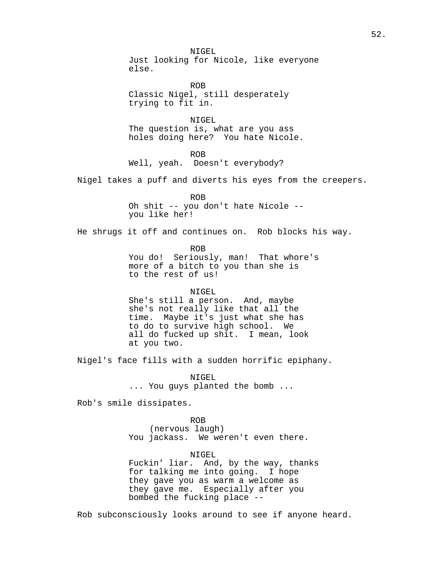NIGEL Just looking for Nicole, like everyone else.

ROB Classic Nigel, still desperately trying to fit in.

NIGEL The question is, what are you ass holes doing here? You hate Nicole.

ROB Well, yeah. Doesn't everybody?

Nigel takes a puff and diverts his eyes from the creepers.

ROB Oh shit -- you don't hate Nicole - you like her!

He shrugs it off and continues on. Rob blocks his way.

ROB

You do! Seriously, man! That whore's more of a bitch to you than she is to the rest of us!

NIGEL

She's still a person. And, maybe she's not really like that all the time. Maybe it's just what she has to do to survive high school. We all do fucked up shit. I mean, look at you two.

Nigel's face fills with a sudden horrific epiphany.

NIGEL ... You guys planted the bomb ...

Rob's smile dissipates.

ROB (nervous laugh) You jackass. We weren't even there.

NIGEL Fuckin' liar. And, by the way, thanks for talking me into going. I hope they gave you as warm a welcome as they gave me. Especially after you bombed the fucking place --

Rob subconsciously looks around to see if anyone heard.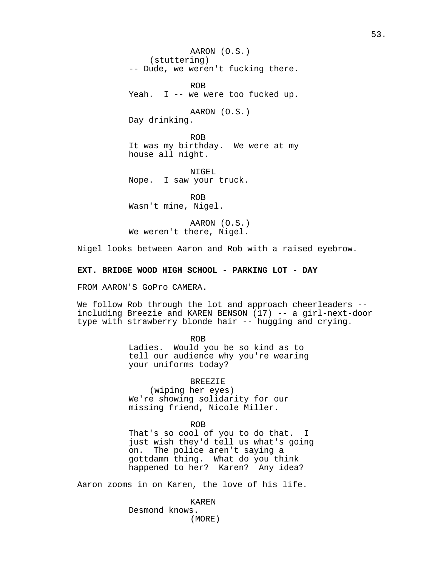AARON (O.S.) (stuttering) -- Dude, we weren't fucking there. ROB Yeah. I -- we were too fucked up. AARON (O.S.) Day drinking. ROB It was my birthday. We were at my house all night. NIGEL Nope. I saw your truck. ROB Wasn't mine, Nigel.

AARON (O.S.) We weren't there, Nigel.

Nigel looks between Aaron and Rob with a raised eyebrow.

### **EXT. BRIDGE WOOD HIGH SCHOOL - PARKING LOT - DAY**

FROM AARON'S GoPro CAMERA.

We follow Rob through the lot and approach cheerleaders -including Breezie and KAREN BENSON (17) -- a girl-next-door type with strawberry blonde hair -- hugging and crying.

> ROB Ladies. Would you be so kind as to tell our audience why you're wearing your uniforms today?

> > BREEZIE

(wiping her eyes) We're showing solidarity for our missing friend, Nicole Miller.

ROB

That's so cool of you to do that. I just wish they'd tell us what's going on. The police aren't saying a gottdamn thing. What do you think happened to her? Karen? Any idea?

Aaron zooms in on Karen, the love of his life.

KAREN Desmond knows. (MORE)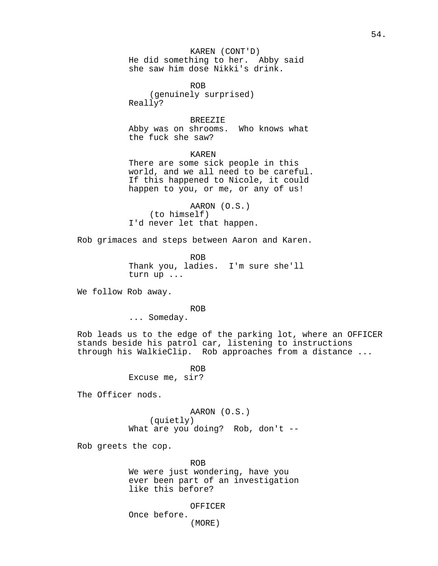KAREN (CONT'D) He did something to her. Abby said she saw him dose Nikki's drink.

ROB (genuinely surprised) Really?

BREEZIE

Abby was on shrooms. Who knows what the fuck she saw?

KAREN There are some sick people in this world, and we all need to be careful. If this happened to Nicole, it could happen to you, or me, or any of us!

AARON (O.S.) (to himself) I'd never let that happen.

Rob grimaces and steps between Aaron and Karen.

ROB Thank you, ladies. I'm sure she'll turn up ...

We follow Rob away.

### ROB

... Someday.

Rob leads us to the edge of the parking lot, where an OFFICER stands beside his patrol car, listening to instructions through his WalkieClip. Rob approaches from a distance ...

> ROB Excuse me, sir?

The Officer nods.

AARON (O.S.) (quietly) What are you doing? Rob, don't --

Rob greets the cop.

ROB We were just wondering, have you ever been part of an investigation like this before?

OFFICER Once before. (MORE)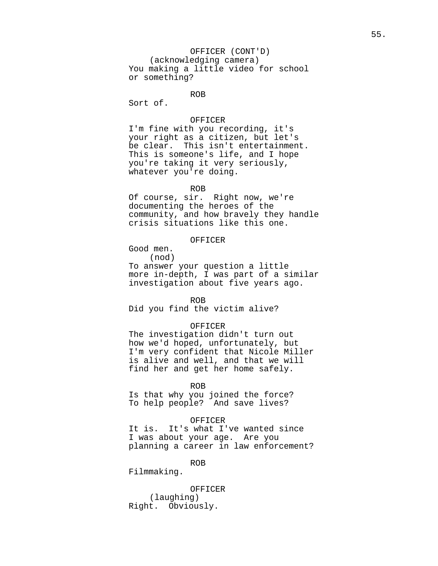# OFFICER (CONT'D) (acknowledging camera)

You making a little video for school or something?

# ROB

Sort of.

### OFFICER

I'm fine with you recording, it's your right as a citizen, but let's be clear. This isn't entertainment. This is someone's life, and I hope you're taking it very seriously, whatever you're doing.

### ROB

Of course, sir. Right now, we're documenting the heroes of the community, and how bravely they handle crisis situations like this one.

## OFFICER

Good men.

(nod)

To answer your question a little more in-depth, I was part of a similar investigation about five years ago.

### ROB

Did you find the victim alive?

### OFFICER

The investigation didn't turn out how we'd hoped, unfortunately, but I'm very confident that Nicole Miller is alive and well, and that we will find her and get her home safely.

### ROB

Is that why you joined the force? To help people? And save lives?

## OFFICER

It is. It's what I've wanted since I was about your age. Are you planning a career in law enforcement?

ROB

Filmmaking.

OFFICER (laughing) Right. Obviously.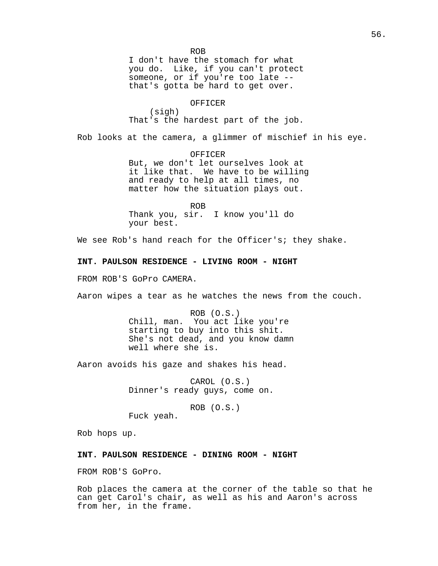ROB

I don't have the stomach for what you do. Like, if you can't protect someone, or if you're too late - that's gotta be hard to get over.

OFFICER

(sigh) That's the hardest part of the job.

Rob looks at the camera, a glimmer of mischief in his eye.

OFFICER But, we don't let ourselves look at it like that. We have to be willing and ready to help at all times, no matter how the situation plays out.

ROB Thank you, sir. I know you'll do your best.

We see Rob's hand reach for the Officer's; they shake.

**INT. PAULSON RESIDENCE - LIVING ROOM - NIGHT**

FROM ROB'S GoPro CAMERA.

Aaron wipes a tear as he watches the news from the couch.

ROB (O.S.) Chill, man. You act like you're starting to buy into this shit. She's not dead, and you know damn well where she is.

Aaron avoids his gaze and shakes his head.

CAROL (O.S.) Dinner's ready guys, come on.

ROB (O.S.)

Fuck yeah.

Rob hops up.

**INT. PAULSON RESIDENCE - DINING ROOM - NIGHT**

FROM ROB'S GoPro.

Rob places the camera at the corner of the table so that he can get Carol's chair, as well as his and Aaron's across from her, in the frame.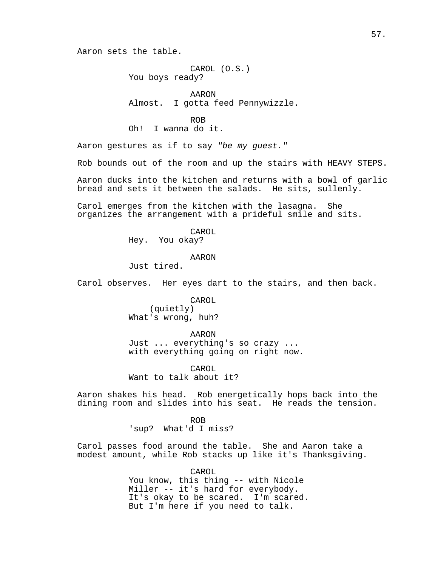Aaron sets the table.

CAROL (O.S.) You boys ready?

AARON Almost. I gotta feed Pennywizzle.

ROB Oh! I wanna do it.

Aaron gestures as if to say "be my guest."

Rob bounds out of the room and up the stairs with HEAVY STEPS.

Aaron ducks into the kitchen and returns with a bowl of garlic bread and sets it between the salads. He sits, sullenly.

Carol emerges from the kitchen with the lasagna. She organizes the arrangement with a prideful smile and sits.

> CAROL Hey. You okay?

> > AARON

Just tired.

Carol observes. Her eyes dart to the stairs, and then back.

CAROL (quietly) What's wrong, huh?

AARON Just ... everything's so crazy ... with everything going on right now.

CAROL Want to talk about it?

Aaron shakes his head. Rob energetically hops back into the dining room and slides into his seat. He reads the tension.

ROB

'sup? What'd I miss?

Carol passes food around the table. She and Aaron take a modest amount, while Rob stacks up like it's Thanksgiving.

> CAROL You know, this thing -- with Nicole Miller -- it's hard for everybody. It's okay to be scared. I'm scared. But I'm here if you need to talk.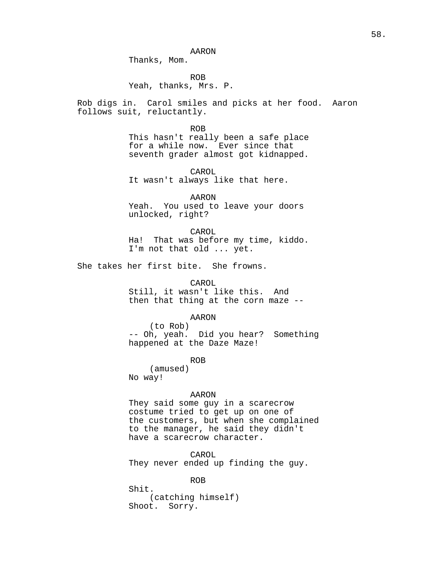AARON

Thanks, Mom.

ROB Yeah, thanks, Mrs. P.

Rob digs in. Carol smiles and picks at her food. Aaron follows suit, reluctantly.

ROB

This hasn't really been a safe place for a while now. Ever since that seventh grader almost got kidnapped.

CAROL It wasn't always like that here.

AARON

Yeah. You used to leave your doors unlocked, right?

CAROL Ha! That was before my time, kiddo. I'm not that old ... yet.

She takes her first bite. She frowns.

CAROL

Still, it wasn't like this. And then that thing at the corn maze --

AARON

(to Rob) -- Oh, yeah. Did you hear? Something happened at the Daze Maze!

ROB

(amused) No way!

#### AARON

They said some guy in a scarecrow costume tried to get up on one of the customers, but when she complained to the manager, he said they didn't have a scarecrow character.

CAROL They never ended up finding the guy.

ROB Shit. (catching himself) Shoot. Sorry.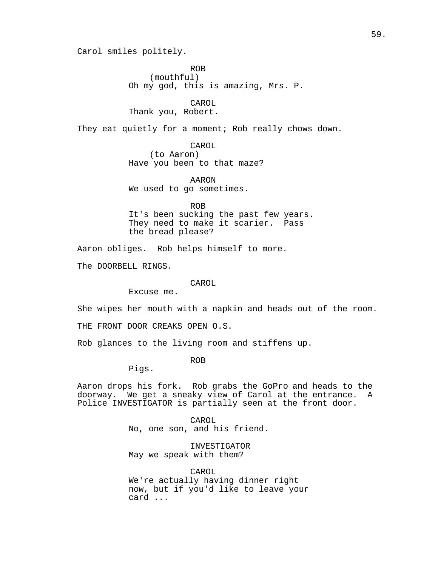Carol smiles politely.

ROB (mouthful) Oh my god, this is amazing, Mrs. P.

CAROL Thank you, Robert.

They eat quietly for a moment; Rob really chows down.

CAROL (to Aaron) Have you been to that maze?

AARON We used to go sometimes.

ROB It's been sucking the past few years. They need to make it scarier. Pass the bread please?

Aaron obliges. Rob helps himself to more.

The DOORBELL RINGS.

## CAROL

Excuse me.

She wipes her mouth with a napkin and heads out of the room.

THE FRONT DOOR CREAKS OPEN O.S.

Rob glances to the living room and stiffens up.

ROB

Pigs.

Aaron drops his fork. Rob grabs the GoPro and heads to the doorway. We get a sneaky view of Carol at the entrance. A Police INVESTIGATOR is partially seen at the front door.

> CAROL No, one son, and his friend.

INVESTIGATOR May we speak with them?

CAROL We're actually having dinner right now, but if you'd like to leave your card ...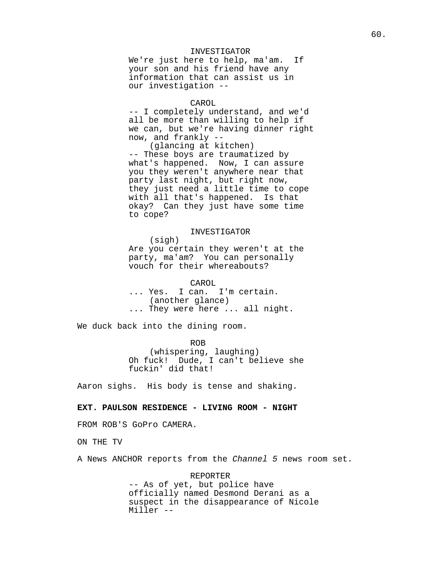## INVESTIGATOR

We're just here to help, ma'am. If your son and his friend have any information that can assist us in our investigation --

#### CAROL

-- I completely understand, and we'd all be more than willing to help if we can, but we're having dinner right now, and frankly --

(glancing at kitchen) -- These boys are traumatized by what's happened. Now, I can assure you they weren't anywhere near that party last night, but right now, they just need a little time to cope with all that's happened. Is that okay? Can they just have some time to cope?

#### INVESTIGATOR

(sigh) Are you certain they weren't at the party, ma'am? You can personally vouch for their whereabouts?

CAROL

... Yes. I can. I'm certain. (another glance) ... They were here ... all night.

We duck back into the dining room.

ROB

(whispering, laughing) Oh fuck! Dude, I can't believe she fuckin' did that!

Aaron sighs. His body is tense and shaking.

### **EXT. PAULSON RESIDENCE - LIVING ROOM - NIGHT**

FROM ROB'S GoPro CAMERA.

ON THE TV

A News ANCHOR reports from the Channel 5 news room set.

REPORTER -- As of yet, but police have officially named Desmond Derani as a suspect in the disappearance of Nicole Miller --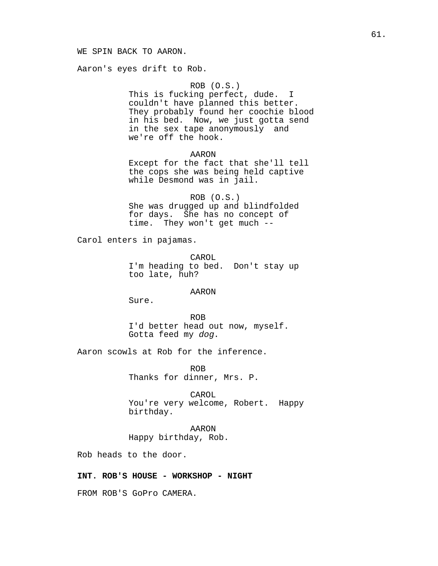## WE SPIN BACK TO AARON.

Aaron's eyes drift to Rob.

### ROB (O.S.)

This is fucking perfect, dude. I couldn't have planned this better. They probably found her coochie blood in his bed. Now, we just gotta send in the sex tape anonymously and we're off the hook.

### AARON

Except for the fact that she'll tell the cops she was being held captive while Desmond was in jail.

ROB (O.S.) She was drugged up and blindfolded for days. She has no concept of time. They won't get much --

Carol enters in pajamas.

CAROL I'm heading to bed. Don't stay up too late, huh?

### AARON

Sure.

ROB I'd better head out now, myself. Gotta feed my dog.

Aaron scowls at Rob for the inference.

ROB Thanks for dinner, Mrs. P.

CAROL. You're very welcome, Robert. Happy birthday.

AARON Happy birthday, Rob.

Rob heads to the door.

## **INT. ROB'S HOUSE - WORKSHOP - NIGHT**

FROM ROB'S GoPro CAMERA.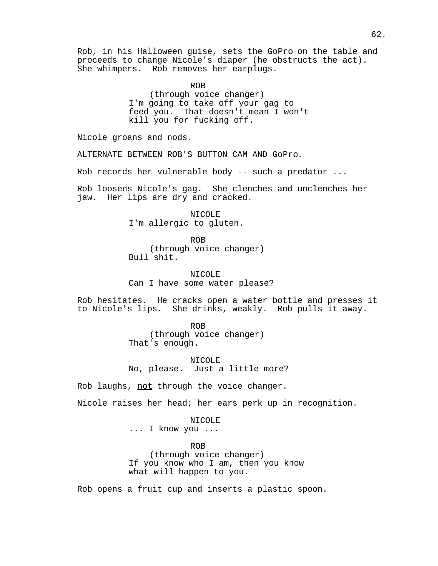Rob, in his Halloween guise, sets the GoPro on the table and proceeds to change Nicole's diaper (he obstructs the act). She whimpers. Rob removes her earplugs.

> ROB (through voice changer) I'm going to take off your gag to feed you. That doesn't mean I won't kill you for fucking off.

Nicole groans and nods.

ALTERNATE BETWEEN ROB'S BUTTON CAM AND GoPro.

Rob records her vulnerable body -- such a predator ...

Rob loosens Nicole's gag. She clenches and unclenches her jaw. Her lips are dry and cracked.

> NICOLE I'm allergic to gluten.

ROB (through voice changer) Bull shit.

NICOLE Can I have some water please?

Rob hesitates. He cracks open a water bottle and presses it to Nicole's lips. She drinks, weakly. Rob pulls it away.

> ROB (through voice changer) That's enough.

NICOLE No, please. Just a little more?

Rob laughs, not through the voice changer.

Nicole raises her head; her ears perk up in recognition.

### NICOLE

... I know you ...

ROB

(through voice changer) If you know who I am, then you know what will happen to you.

Rob opens a fruit cup and inserts a plastic spoon.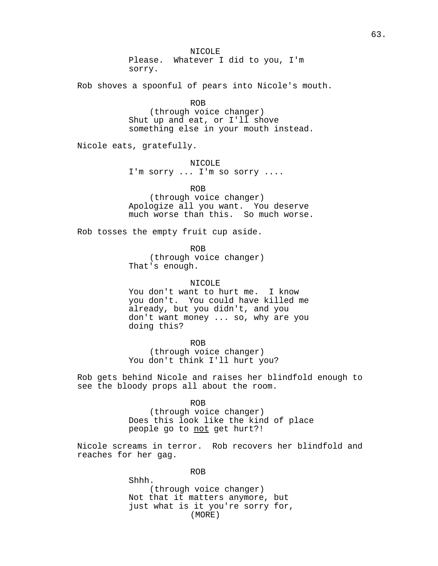NICOLE Please. Whatever I did to you, I'm sorry.

Rob shoves a spoonful of pears into Nicole's mouth.

ROB (through voice changer) Shut up and eat, or I'll shove something else in your mouth instead.

Nicole eats, gratefully.

NICOLE I'm sorry ... I'm so sorry ....

ROB

(through voice changer) Apologize all you want. You deserve much worse than this. So much worse.

Rob tosses the empty fruit cup aside.

ROB (through voice changer) That's enough.

#### NICOLE

You don't want to hurt me. I know you don't. You could have killed me already, but you didn't, and you don't want money ... so, why are you doing this?

ROB (through voice changer) You don't think I'll hurt you?

Rob gets behind Nicole and raises her blindfold enough to see the bloody props all about the room.

> ROB (through voice changer) Does this look like the kind of place people go to not get hurt?!

Nicole screams in terror. Rob recovers her blindfold and reaches for her gag.

ROB

Shhh. (through voice changer) Not that it matters anymore, but just what is it you're sorry for, (MORE)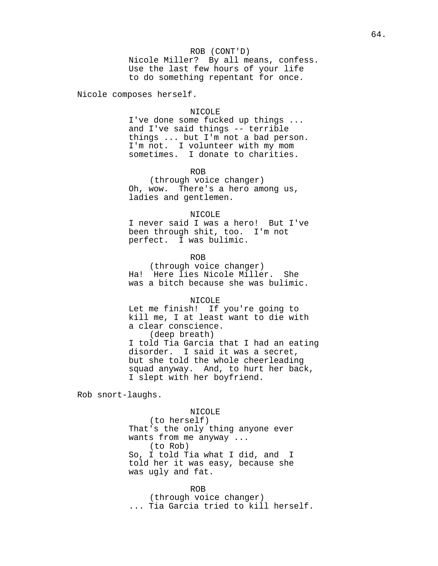Nicole Miller? By all means, confess. Use the last few hours of your life to do something repentant for once.

Nicole composes herself.

### NICOLE.

I've done some fucked up things ... and I've said things -- terrible things ... but I'm not a bad person. I'm not. I volunteer with my mom sometimes. I donate to charities.

ROB

(through voice changer) Oh, wow. There's a hero among us, ladies and gentlemen.

#### NICOLE

I never said I was a hero! But I've been through shit, too. I'm not perfect. I was bulimic.

ROB

(through voice changer) Ha! Here lies Nicole Miller. She was a bitch because she was bulimic.

#### NICOLE

Let me finish! If you're going to kill me, I at least want to die with a clear conscience. (deep breath) I told Tia Garcia that I had an eating disorder. I said it was a secret, but she told the whole cheerleading squad anyway. And, to hurt her back, I slept with her boyfriend.

Rob snort-laughs.

NICOLE (to herself) That's the only thing anyone ever wants from me anyway ... (to Rob) So, I told Tia what I did, and I told her it was easy, because she was ugly and fat.

ROB (through voice changer) ... Tia Garcia tried to kill herself.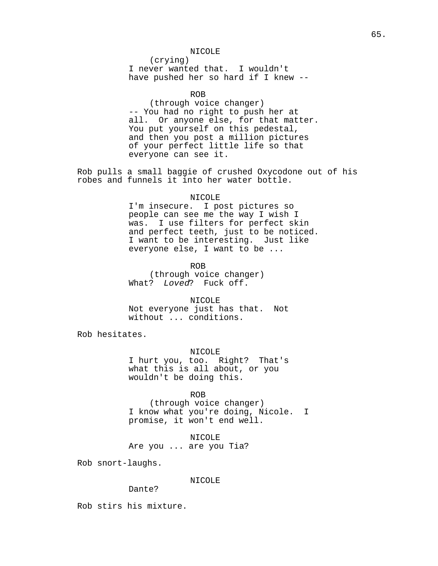## NICOLE

(crying) I never wanted that. I wouldn't have pushed her so hard if I knew --

ROB

(through voice changer) -- You had no right to push her at all. Or anyone else, for that matter. You put yourself on this pedestal, and then you post a million pictures of your perfect little life so that everyone can see it.

Rob pulls a small baggie of crushed Oxycodone out of his robes and funnels it into her water bottle.

### NICOLE

I'm insecure. I post pictures so people can see me the way I wish I was. I use filters for perfect skin and perfect teeth, just to be noticed. I want to be interesting. Just like everyone else, I want to be ...

ROB (through voice changer) What? Loved? Fuck off.

NICOLE Not everyone just has that. Not without ... conditions.

Rob hesitates.

NICOLE

I hurt you, too. Right? That's what this is all about, or you wouldn't be doing this.

ROB (through voice changer) I know what you're doing, Nicole. I promise, it won't end well.

NICOLE Are you ... are you Tia?

Rob snort-laughs.

#### NICOLE

Dante?

Rob stirs his mixture.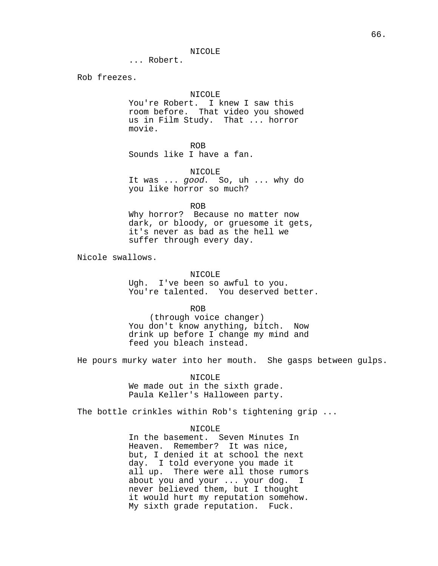... Robert.

Rob freezes.

### NICOLE

You're Robert. I knew I saw this room before. That video you showed us in Film Study. That ... horror movie.

ROB

Sounds like I have a fan.

NICOLE

It was ... good. So, uh ... why do you like horror so much?

ROB

Why horror? Because no matter now dark, or bloody, or gruesome it gets, it's never as bad as the hell we suffer through every day.

Nicole swallows.

NICOLE

Ugh. I've been so awful to you. You're talented. You deserved better.

ROB

(through voice changer) You don't know anything, bitch. Now drink up before I change my mind and feed you bleach instead.

He pours murky water into her mouth. She gasps between gulps.

NICOLE

We made out in the sixth grade. Paula Keller's Halloween party.

The bottle crinkles within Rob's tightening grip ...

## NICOLE

In the basement. Seven Minutes In Heaven. Remember? It was nice, but, I denied it at school the next day. I told everyone you made it all up. There were all those rumors about you and your ... your dog. I never believed them, but I thought it would hurt my reputation somehow. My sixth grade reputation. Fuck.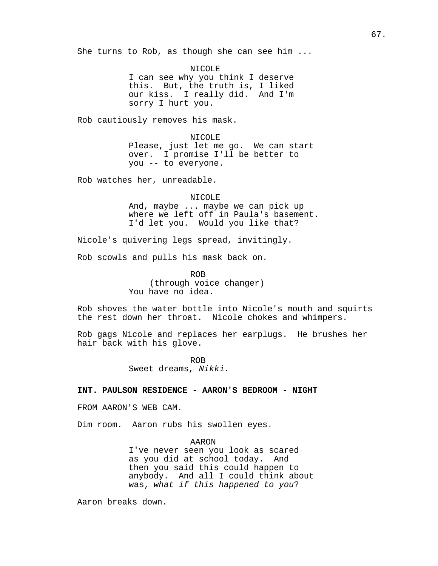She turns to Rob, as though she can see him ...

NICOLE I can see why you think I deserve this. But, the truth is, I liked our kiss. I really did. And I'm sorry I hurt you.

Rob cautiously removes his mask.

NICOLE Please, just let me go. We can start over. I promise I'll be better to you -- to everyone.

Rob watches her, unreadable.

#### NICOLE

And, maybe ... maybe we can pick up where we left off in Paula's basement. I'd let you. Would you like that?

Nicole's quivering legs spread, invitingly.

Rob scowls and pulls his mask back on.

ROB (through voice changer) You have no idea.

Rob shoves the water bottle into Nicole's mouth and squirts the rest down her throat. Nicole chokes and whimpers.

Rob gags Nicole and replaces her earplugs. He brushes her hair back with his glove.

> ROB Sweet dreams, Nikki.

### **INT. PAULSON RESIDENCE - AARON'S BEDROOM - NIGHT**

FROM AARON'S WEB CAM.

Dim room. Aaron rubs his swollen eyes.

AARON I've never seen you look as scared as you did at school today. And then you said this could happen to anybody. And all I could think about was, what if this happened to you?

Aaron breaks down.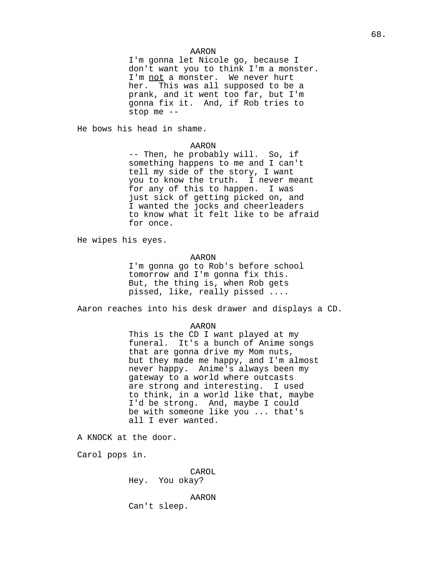I'm gonna let Nicole go, because I don't want you to think I'm a monster. I'm not a monster. We never hurt her. This was all supposed to be a prank, and it went too far, but I'm gonna fix it. And, if Rob tries to stop me --

He bows his head in shame.

## AARON

-- Then, he probably will. So, if something happens to me and I can't tell my side of the story, I want you to know the truth. I never meant for any of this to happen. I was just sick of getting picked on, and I wanted the jocks and cheerleaders to know what it felt like to be afraid for once.

He wipes his eyes.

### AARON

I'm gonna go to Rob's before school tomorrow and I'm gonna fix this. But, the thing is, when Rob gets pissed, like, really pissed ....

Aaron reaches into his desk drawer and displays a CD.

#### AARON

This is the CD I want played at my funeral. It's a bunch of Anime songs that are gonna drive my Mom nuts, but they made me happy, and I'm almost never happy. Anime's always been my gateway to a world where outcasts are strong and interesting. I used to think, in a world like that, maybe I'd be strong. And, maybe I could be with someone like you ... that's all I ever wanted.

A KNOCK at the door.

Carol pops in.

CAROL Hey. You okay?

AARON Can't sleep.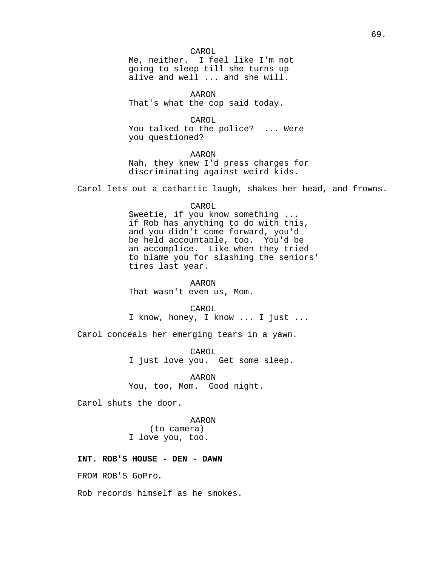CAROL Me, neither. I feel like I'm not going to sleep till she turns up alive and well ... and she will.

AARON That's what the cop said today.

CAROL You talked to the police? ... Were you questioned?

AARON Nah, they knew I'd press charges for discriminating against weird kids.

Carol lets out a cathartic laugh, shakes her head, and frowns.

CAROL

Sweetie, if you know something ... if Rob has anything to do with this, and you didn't come forward, you'd be held accountable, too. You'd be an accomplice. Like when they tried to blame you for slashing the seniors' tires last year.

AARON That wasn't even us, Mom.

CAROL I know, honey, I know ... I just ...

Carol conceals her emerging tears in a yawn.

CAROL I just love you. Get some sleep.

AARON You, too, Mom. Good night.

Carol shuts the door.

AARON

(to camera) I love you, too.

**INT. ROB'S HOUSE - DEN - DAWN**

FROM ROB'S GoPro.

Rob records himself as he smokes.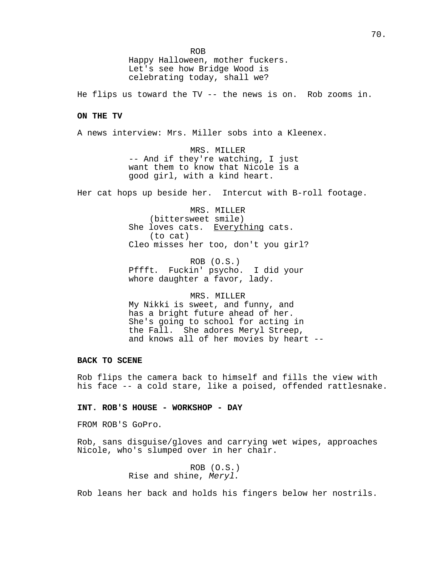ROB Happy Halloween, mother fuckers. Let's see how Bridge Wood is celebrating today, shall we?

He flips us toward the TV -- the news is on. Rob zooms in.

#### **ON THE TV**

A news interview: Mrs. Miller sobs into a Kleenex.

MRS. MILLER -- And if they're watching, I just want them to know that Nicole is a good girl, with a kind heart.

Her cat hops up beside her. Intercut with B-roll footage.

MRS. MILLER (bittersweet smile) She loves cats. Everything cats. (to cat) Cleo misses her too, don't you girl?

ROB (O.S.) Pffft. Fuckin' psycho. I did your whore daughter a favor, lady.

## MRS. MILLER My Nikki is sweet, and funny, and has a bright future ahead of her. She's going to school for acting in the Fall. She adores Meryl Streep, and knows all of her movies by heart --

### **BACK TO SCENE**

Rob flips the camera back to himself and fills the view with his face -- a cold stare, like a poised, offended rattlesnake.

#### **INT. ROB'S HOUSE - WORKSHOP - DAY**

FROM ROB'S GoPro.

Rob, sans disguise/gloves and carrying wet wipes, approaches Nicole, who's slumped over in her chair.

> ROB (O.S.) Rise and shine, Meryl.

Rob leans her back and holds his fingers below her nostrils.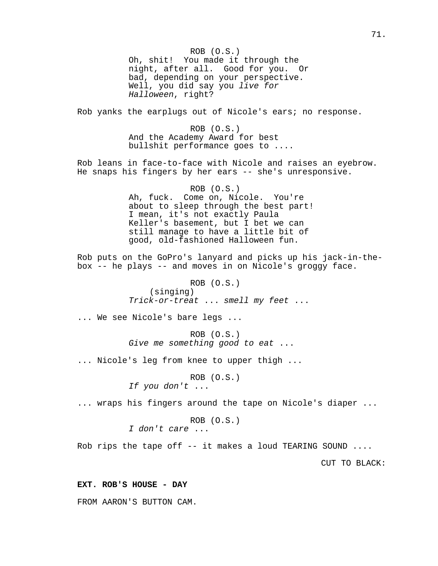ROB (O.S.) Oh, shit! You made it through the night, after all. Good for you. Or bad, depending on your perspective. Well, you did say you live for Halloween, right?

Rob yanks the earplugs out of Nicole's ears; no response.

ROB (O.S.) And the Academy Award for best bullshit performance goes to ....

Rob leans in face-to-face with Nicole and raises an eyebrow. He snaps his fingers by her ears -- she's unresponsive.

### ROB (O.S.)

Ah, fuck. Come on, Nicole. You're about to sleep through the best part! I mean, it's not exactly Paula Keller's basement, but I bet we can still manage to have a little bit of good, old-fashioned Halloween fun.

Rob puts on the GoPro's lanyard and picks up his jack-in-thebox -- he plays -- and moves in on Nicole's groggy face.

> ROB (O.S.) (singing) Trick-or-treat ... smell my feet ...

... We see Nicole's bare legs ...

ROB (O.S.) Give me something good to eat ...

... Nicole's leg from knee to upper thigh ...

ROB (O.S.) If you don't ...

... wraps his fingers around the tape on Nicole's diaper ...

ROB (O.S.)

I don't care ...

Rob rips the tape off -- it makes a loud TEARING SOUND ....

CUT TO BLACK:

#### **EXT. ROB'S HOUSE - DAY**

FROM AARON'S BUTTON CAM.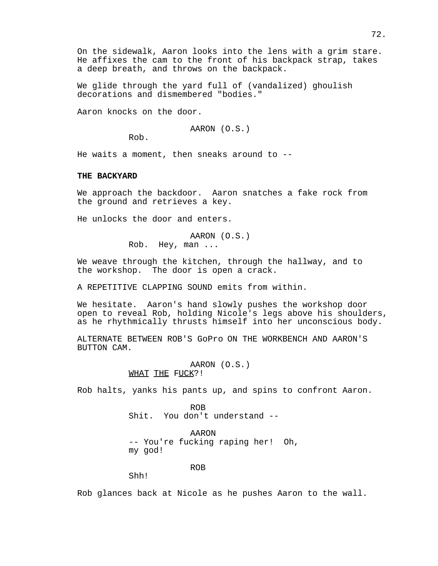On the sidewalk, Aaron looks into the lens with a grim stare. He affixes the cam to the front of his backpack strap, takes a deep breath, and throws on the backpack.

We glide through the yard full of (vandalized) ghoulish decorations and dismembered "bodies."

Aaron knocks on the door.

AARON (O.S.)

Rob.

He waits a moment, then sneaks around to --

# **THE BACKYARD**

We approach the backdoor. Aaron snatches a fake rock from the ground and retrieves a key.

He unlocks the door and enters.

AARON (O.S.) Rob. Hey, man ...

We weave through the kitchen, through the hallway, and to the workshop. The door is open a crack.

A REPETITIVE CLAPPING SOUND emits from within.

We hesitate. Aaron's hand slowly pushes the workshop door open to reveal Rob, holding Nicole's legs above his shoulders, as he rhythmically thrusts himself into her unconscious body.

ALTERNATE BETWEEN ROB'S GoPro ON THE WORKBENCH AND AARON'S BUTTON CAM.

> AARON (O.S.) WHAT THE FUCK?!

Rob halts, yanks his pants up, and spins to confront Aaron.

ROB Shit. You don't understand --

AARON -- You're fucking raping her! Oh, my god!

ROB

Shh!

Rob glances back at Nicole as he pushes Aaron to the wall.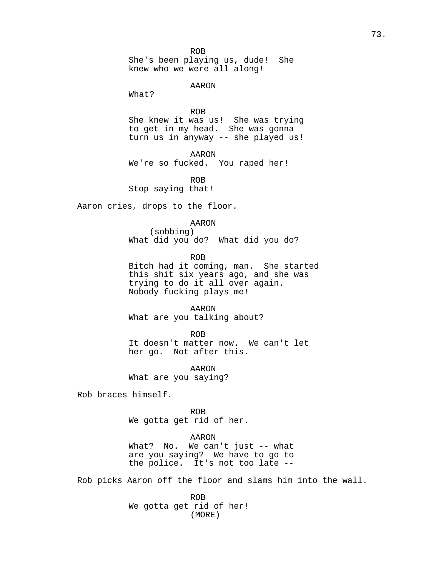AARON

What?

ROB She knew it was us! She was trying to get in my head. She was gonna turn us in anyway -- she played us!

AARON We're so fucked. You raped her!

ROB Stop saying that!

Aaron cries, drops to the floor.

AARON (sobbing) What did you do? What did you do?

ROB

Bitch had it coming, man. She started this shit six years ago, and she was trying to do it all over again. Nobody fucking plays me!

AARON What are you talking about?

ROB It doesn't matter now. We can't let her go. Not after this.

AARON What are you saying?

Rob braces himself.

ROB We gotta get rid of her.

AARON What? No. We can't just -- what are you saying? We have to go to the police. It's not too late --

Rob picks Aaron off the floor and slams him into the wall.

ROB We gotta get rid of her! (MORE)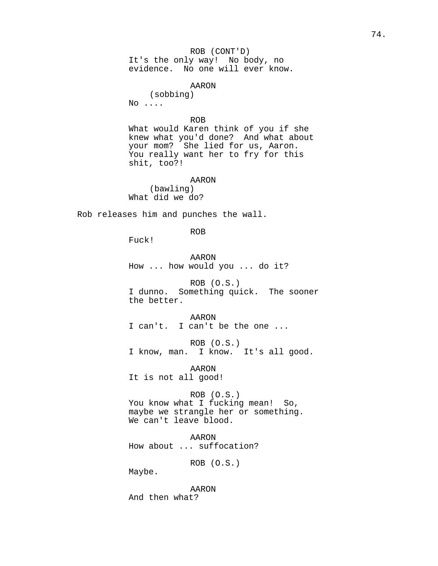ROB (CONT'D) It's the only way! No body, no evidence. No one will ever know.

AARON

(sobbing) No ....

ROB

What would Karen think of you if she knew what you'd done? And what about your mom? She lied for us, Aaron. You really want her to fry for this shit, too?!

AARON

(bawling) What did we do?

Rob releases him and punches the wall.

ROB

Fuck!

AARON How ... how would you ... do it?

ROB (O.S.) I dunno. Something quick. The sooner the better.

AARON I can't. I can't be the one ...

ROB (O.S.) I know, man. I know. It's all good.

AARON It is not all good!

ROB (O.S.) You know what I fucking mean! So, maybe we strangle her or something. We can't leave blood.

AARON How about ... suffocation?

ROB (O.S.)

Maybe.

AARON And then what?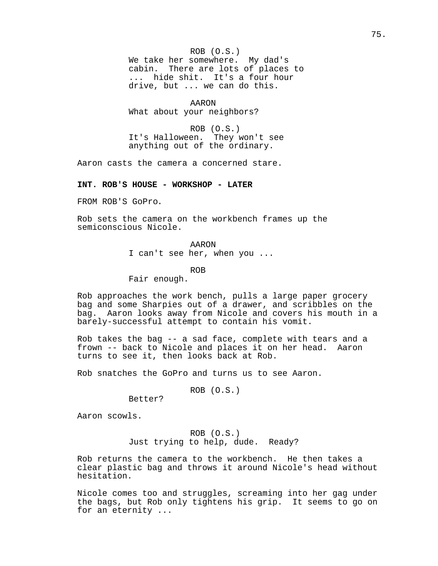ROB (O.S.) We take her somewhere. My dad's cabin. There are lots of places to ... hide shit. It's a four hour drive, but ... we can do this.

AARON What about your neighbors?

ROB (O.S.) It's Halloween. They won't see anything out of the ordinary.

Aaron casts the camera a concerned stare.

# **INT. ROB'S HOUSE - WORKSHOP - LATER**

FROM ROB'S GoPro.

Rob sets the camera on the workbench frames up the semiconscious Nicole.

AARON

I can't see her, when you ...

ROB

Fair enough.

Rob approaches the work bench, pulls a large paper grocery bag and some Sharpies out of a drawer, and scribbles on the bag. Aaron looks away from Nicole and covers his mouth in a barely-successful attempt to contain his vomit.

Rob takes the bag -- a sad face, complete with tears and a frown -- back to Nicole and places it on her head. Aaron turns to see it, then looks back at Rob.

Rob snatches the GoPro and turns us to see Aaron.

ROB (O.S.)

Better?

Aaron scowls.

ROB (O.S.) Just trying to help, dude. Ready?

Rob returns the camera to the workbench. He then takes a clear plastic bag and throws it around Nicole's head without hesitation.

Nicole comes too and struggles, screaming into her gag under the bags, but Rob only tightens his grip. It seems to go on for an eternity ...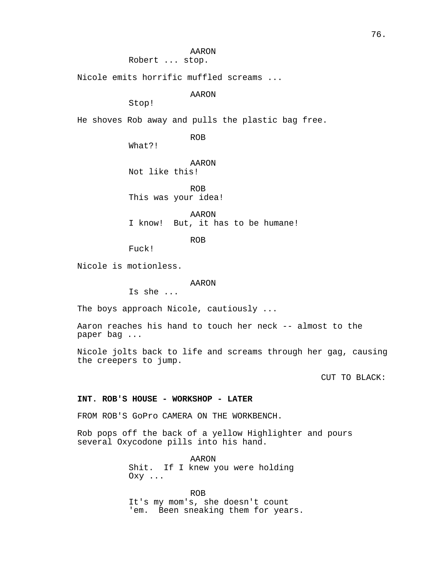AARON Robert ... stop.

Nicole emits horrific muffled screams ...

AARON

Stop!

He shoves Rob away and pulls the plastic bag free.

ROB

What?!

AARON Not like this!

ROB This was your idea!

AARON I know! But, it has to be humane!

ROB

Fuck!

Nicole is motionless.

AARON

Is she ...

The boys approach Nicole, cautiously ...

Aaron reaches his hand to touch her neck -- almost to the paper bag ...

Nicole jolts back to life and screams through her gag, causing the creepers to jump.

CUT TO BLACK:

### **INT. ROB'S HOUSE - WORKSHOP - LATER**

FROM ROB'S GoPro CAMERA ON THE WORKBENCH.

Rob pops off the back of a yellow Highlighter and pours several Oxycodone pills into his hand.

> AARON Shit. If I knew you were holding Oxy ...

ROB It's my mom's, she doesn't count 'em. Been sneaking them for years.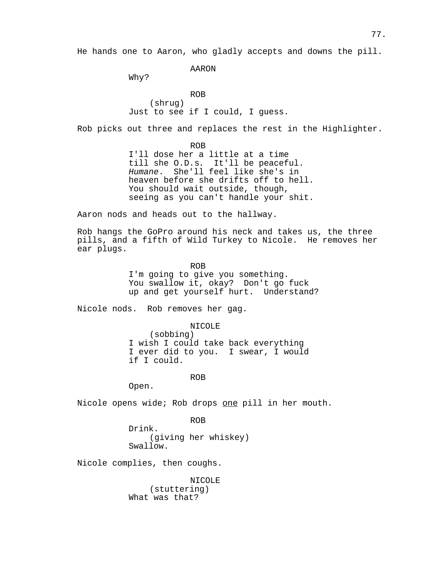AARON

Why?

ROB

(shrug) Just to see if I could, I guess.

Rob picks out three and replaces the rest in the Highlighter.

ROB

I'll dose her a little at a time till she O.D.s. It'll be peaceful. Humane. She'll feel like she's in heaven before she drifts off to hell. You should wait outside, though, seeing as you can't handle your shit.

Aaron nods and heads out to the hallway.

Rob hangs the GoPro around his neck and takes us, the three pills, and a fifth of Wild Turkey to Nicole. He removes her ear plugs.

> ROB I'm going to give you something. You swallow it, okay? Don't go fuck up and get yourself hurt. Understand?

Nicole nods. Rob removes her gag.

NICOLE

(sobbing) I wish I could take back everything I ever did to you. I swear, I would if I could.

ROB

Open.

Nicole opens wide; Rob drops one pill in her mouth.

ROB

Drink. (giving her whiskey) Swallow.

Nicole complies, then coughs.

NICOLE (stuttering) What was that?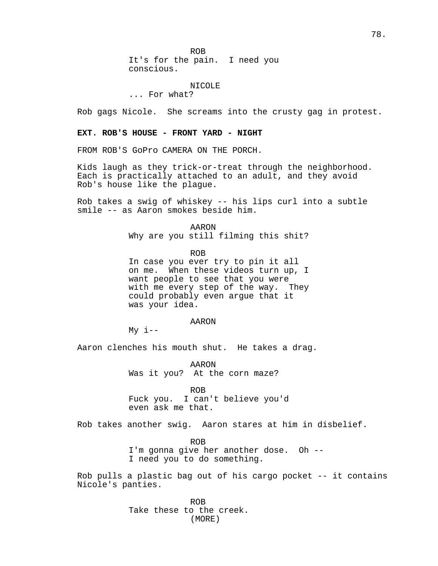ROB It's for the pain. I need you conscious.

NICOLE

... For what?

Rob gags Nicole. She screams into the crusty gag in protest.

## **EXT. ROB'S HOUSE - FRONT YARD - NIGHT**

FROM ROB'S GoPro CAMERA ON THE PORCH.

Kids laugh as they trick-or-treat through the neighborhood. Each is practically attached to an adult, and they avoid Rob's house like the plague.

Rob takes a swig of whiskey -- his lips curl into a subtle smile -- as Aaron smokes beside him.

> AARON Why are you still filming this shit?

> > ROB

In case you ever try to pin it all on me. When these videos turn up, I want people to see that you were with me every step of the way. They could probably even argue that it was your idea.

### AARON

 $My$   $i--$ 

Aaron clenches his mouth shut. He takes a drag.

AARON Was it you? At the corn maze?

ROB Fuck you. I can't believe you'd even ask me that.

Rob takes another swig. Aaron stares at him in disbelief.

ROB I'm gonna give her another dose. Oh -- I need you to do something.

Rob pulls a plastic bag out of his cargo pocket -- it contains Nicole's panties.

> ROB Take these to the creek. (MORE)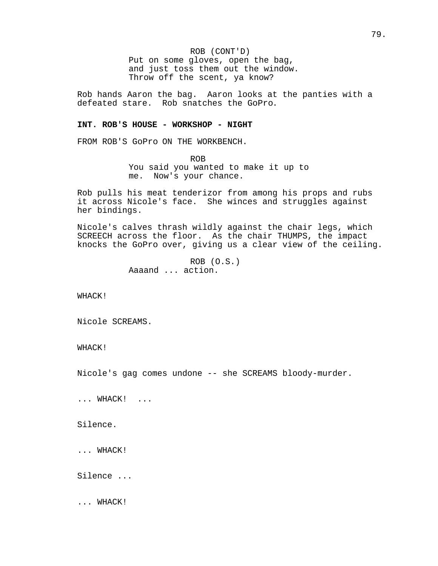ROB (CONT'D) Put on some gloves, open the bag, and just toss them out the window. Throw off the scent, ya know?

Rob hands Aaron the bag. Aaron looks at the panties with a defeated stare. Rob snatches the GoPro.

#### **INT. ROB'S HOUSE - WORKSHOP - NIGHT**

FROM ROB'S GoPro ON THE WORKBENCH.

ROB You said you wanted to make it up to me. Now's your chance.

Rob pulls his meat tenderizor from among his props and rubs it across Nicole's face. She winces and struggles against her bindings.

Nicole's calves thrash wildly against the chair legs, which SCREECH across the floor. As the chair THUMPS, the impact knocks the GoPro over, giving us a clear view of the ceiling.

> ROB (O.S.) Aaaand ... action.

WHACK!

Nicole SCREAMS.

WHACK!

Nicole's gag comes undone -- she SCREAMS bloody-murder.

... WHACK! ...

Silence.

... WHACK!

Silence ...

... WHACK!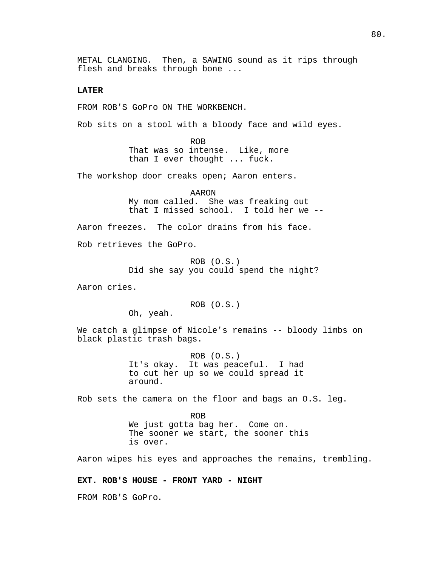METAL CLANGING. Then, a SAWING sound as it rips through flesh and breaks through bone ...

# **LATER**

FROM ROB'S GoPro ON THE WORKBENCH.

Rob sits on a stool with a bloody face and wild eyes.

ROB That was so intense. Like, more than I ever thought ... fuck.

The workshop door creaks open; Aaron enters.

AARON My mom called. She was freaking out that I missed school. I told her we --

Aaron freezes. The color drains from his face.

Rob retrieves the GoPro.

ROB (O.S.) Did she say you could spend the night?

Aaron cries.

ROB (O.S.)

Oh, yeah.

We catch a glimpse of Nicole's remains -- bloody limbs on black plastic trash bags.

> ROB (O.S.) It's okay. It was peaceful. I had to cut her up so we could spread it around.

Rob sets the camera on the floor and bags an O.S. leg.

ROB We just gotta bag her. Come on. The sooner we start, the sooner this is over.

Aaron wipes his eyes and approaches the remains, trembling.

**EXT. ROB'S HOUSE - FRONT YARD - NIGHT**

FROM ROB'S GoPro.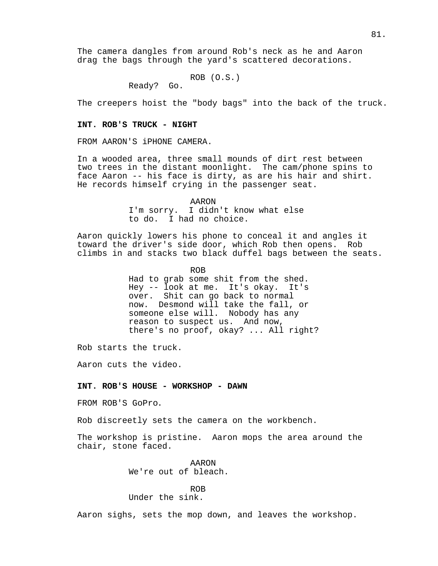The camera dangles from around Rob's neck as he and Aaron drag the bags through the yard's scattered decorations.

ROB (O.S.)

Ready? Go.

The creepers hoist the "body bags" into the back of the truck.

#### **INT. ROB'S TRUCK - NIGHT**

FROM AARON'S iPHONE CAMERA.

In a wooded area, three small mounds of dirt rest between two trees in the distant moonlight. The cam/phone spins to face Aaron -- his face is dirty, as are his hair and shirt. He records himself crying in the passenger seat.

> AARON I'm sorry. I didn't know what else to do. I had no choice.

Aaron quickly lowers his phone to conceal it and angles it toward the driver's side door, which Rob then opens. Rob climbs in and stacks two black duffel bags between the seats.

> ROB Had to grab some shit from the shed. Hey -- look at me. It's okay. It's over. Shit can go back to normal now. Desmond will take the fall, or someone else will. Nobody has any reason to suspect us. And now, there's no proof, okay? ... All right?

Rob starts the truck.

Aaron cuts the video.

#### **INT. ROB'S HOUSE - WORKSHOP - DAWN**

FROM ROB'S GoPro.

Rob discreetly sets the camera on the workbench.

The workshop is pristine. Aaron mops the area around the chair, stone faced.

> AARON We're out of bleach.

ROB Under the sink.

Aaron sighs, sets the mop down, and leaves the workshop.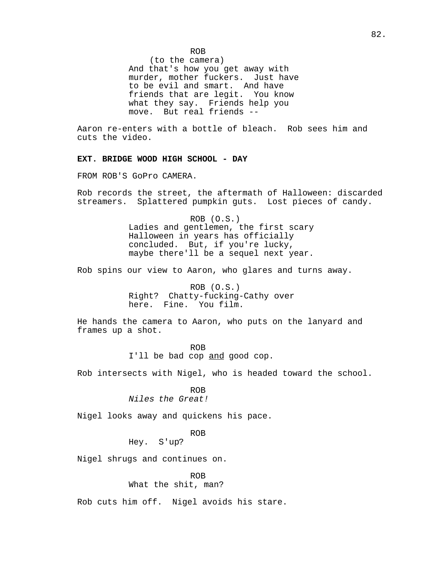ROB

(to the camera) And that's how you get away with murder, mother fuckers. Just have to be evil and smart. And have friends that are legit. You know what they say. Friends help you move. But real friends --

Aaron re-enters with a bottle of bleach. Rob sees him and cuts the video.

# **EXT. BRIDGE WOOD HIGH SCHOOL - DAY**

FROM ROB'S GoPro CAMERA.

Rob records the street, the aftermath of Halloween: discarded streamers. Splattered pumpkin guts. Lost pieces of candy.

> ROB (O.S.) Ladies and gentlemen, the first scary Halloween in years has officially concluded. But, if you're lucky, maybe there'll be a sequel next year.

Rob spins our view to Aaron, who glares and turns away.

ROB (O.S.) Right? Chatty-fucking-Cathy over here. Fine. You film.

He hands the camera to Aaron, who puts on the lanyard and frames up a shot.

> ROB I'll be bad cop and good cop.

Rob intersects with Nigel, who is headed toward the school.

## ROB Niles the Great!

Nigel looks away and quickens his pace.

## ROB

Hey. S'up?

Nigel shrugs and continues on.

ROB

What the shit, man?

Rob cuts him off. Nigel avoids his stare.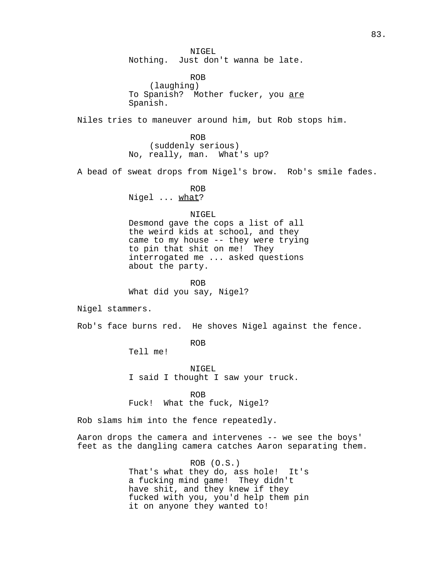NIGEL Nothing. Just don't wanna be late. ROB (laughing) To Spanish? Mother fucker, you are Spanish. Niles tries to maneuver around him, but Rob stops him. ROB (suddenly serious) No, really, man. What's up? A bead of sweat drops from Nigel's brow. Rob's smile fades. ROB Nigel ... what? NIGEL Desmond gave the cops a list of all the weird kids at school, and they came to my house -- they were trying to pin that shit on me! They interrogated me ... asked questions about the party. ROB What did you say, Nigel? Nigel stammers. Rob's face burns red. He shoves Nigel against the fence. ROB Tell me! NIGEL I said I thought I saw your truck. ROB Fuck! What the fuck, Nigel? Rob slams him into the fence repeatedly. Aaron drops the camera and intervenes -- we see the boys' feet as the dangling camera catches Aaron separating them. ROB (O.S.) That's what they do, ass hole! It's a fucking mind game! They didn't have shit, and they knew if they fucked with you, you'd help them pin it on anyone they wanted to!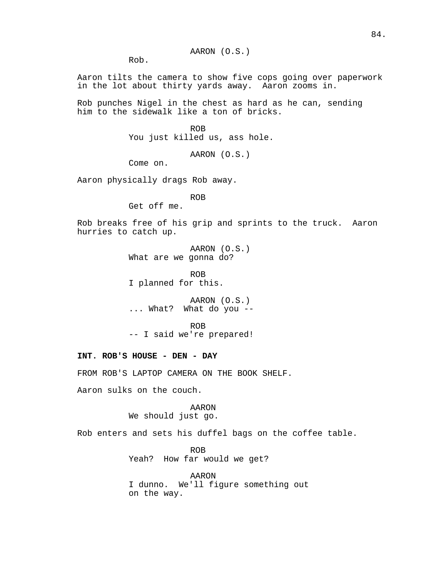Rob.

Aaron tilts the camera to show five cops going over paperwork in the lot about thirty yards away. Aaron zooms in.

Rob punches Nigel in the chest as hard as he can, sending him to the sidewalk like a ton of bricks.

> ROB You just killed us, ass hole.

> > AARON (O.S.)

Come on.

Aaron physically drags Rob away.

ROB

Get off me.

Rob breaks free of his grip and sprints to the truck. Aaron hurries to catch up.

> AARON (O.S.) What are we gonna do?

ROB I planned for this.

AARON (O.S.) ... What? What do you --

ROB -- I said we're prepared!

#### **INT. ROB'S HOUSE - DEN - DAY**

FROM ROB'S LAPTOP CAMERA ON THE BOOK SHELF.

Aaron sulks on the couch.

AARON We should just go.

Rob enters and sets his duffel bags on the coffee table.

ROB Yeah? How far would we get?

AARON I dunno. We'll figure something out on the way.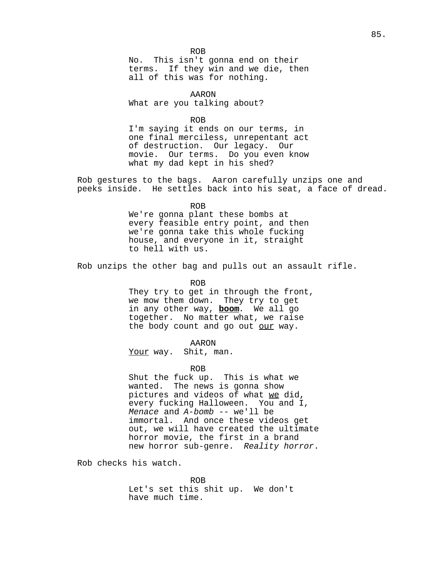ROB

No. This isn't gonna end on their terms. If they win and we die, then all of this was for nothing.

AARON What are you talking about?

ROB

I'm saying it ends on our terms, in one final merciless, unrepentant act of destruction. Our legacy. Our movie. Our terms. Do you even know what my dad kept in his shed?

Rob gestures to the bags. Aaron carefully unzips one and peeks inside. He settles back into his seat, a face of dread.

> ROB We're gonna plant these bombs at every feasible entry point, and then we're gonna take this whole fucking house, and everyone in it, straight to hell with us.

Rob unzips the other bag and pulls out an assault rifle.

ROB

They try to get in through the front, we mow them down. They try to get in any other way, **boom**. We all go together. No matter what, we raise the body count and go out our way.

AARON

Your way. Shit, man.

ROB

Shut the fuck up. This is what we wanted. The news is gonna show pictures and videos of what we did, every fucking Halloween. You and I, Menace and A-bomb -- we'll be immortal. And once these videos get out, we will have created the ultimate horror movie, the first in a brand new horror sub-genre. Reality horror.

Rob checks his watch.

ROB Let's set this shit up. We don't have much time.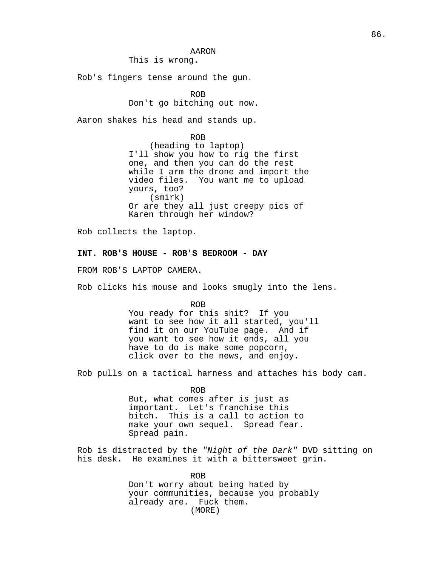# AARON

This is wrong.

Rob's fingers tense around the gun.

ROB Don't go bitching out now.

Aaron shakes his head and stands up.

ROB

(heading to laptop) I'll show you how to rig the first one, and then you can do the rest while I arm the drone and import the video files. You want me to upload yours, too? (smirk) Or are they all just creepy pics of Karen through her window?

Rob collects the laptop.

## **INT. ROB'S HOUSE - ROB'S BEDROOM - DAY**

FROM ROB'S LAPTOP CAMERA.

Rob clicks his mouse and looks smugly into the lens.

ROB

You ready for this shit? If you want to see how it all started, you'll find it on our YouTube page. And if you want to see how it ends, all you have to do is make some popcorn, click over to the news, and enjoy.

Rob pulls on a tactical harness and attaches his body cam.

ROB

But, what comes after is just as important. Let's franchise this This is a call to action to make your own sequel. Spread fear. Spread pain.

Rob is distracted by the "Night of the Dark" DVD sitting on his desk. He examines it with a bittersweet grin.

> ROB Don't worry about being hated by your communities, because you probably already are. Fuck them. (MORE)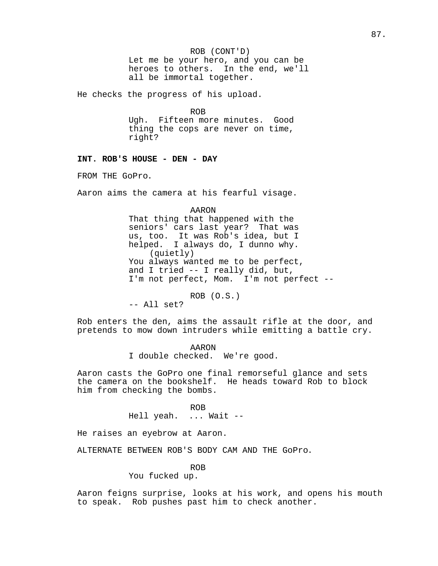ROB (CONT'D) Let me be your hero, and you can be heroes to others. In the end, we'll all be immortal together.

He checks the progress of his upload.

ROB Ugh. Fifteen more minutes. Good thing the cops are never on time, right?

# **INT. ROB'S HOUSE - DEN - DAY**

FROM THE GoPro.

Aaron aims the camera at his fearful visage.

AARON

That thing that happened with the seniors' cars last year? That was us, too. It was Rob's idea, but I helped. I always do, I dunno why. (quietly) You always wanted me to be perfect, and I tried -- I really did, but, I'm not perfect, Mom. I'm not perfect --

ROB (O.S.)

-- All set?

Rob enters the den, aims the assault rifle at the door, and pretends to mow down intruders while emitting a battle cry.

> AARON I double checked. We're good.

Aaron casts the GoPro one final remorseful glance and sets the camera on the bookshelf. He heads toward Rob to block him from checking the bombs.

> ROB Hell yeah. ... Wait --

He raises an eyebrow at Aaron.

ALTERNATE BETWEEN ROB'S BODY CAM AND THE GoPro.

ROB

You fucked up.

Aaron feigns surprise, looks at his work, and opens his mouth to speak. Rob pushes past him to check another.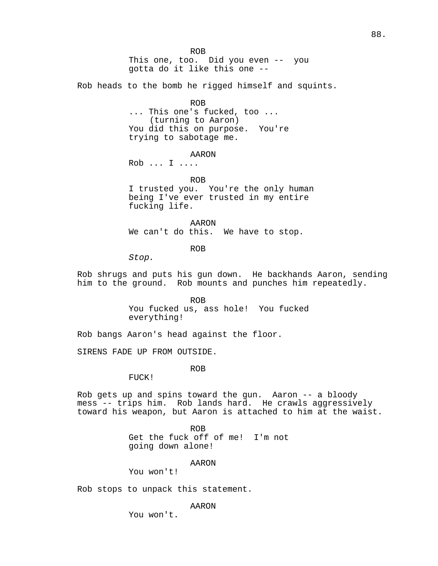ROB This one, too. Did you even -- you gotta do it like this one --

Rob heads to the bomb he rigged himself and squints.

ROB ... This one's fucked, too ... (turning to Aaron) You did this on purpose. You're trying to sabotage me.

#### AARON

Rob ... I ....

ROB I trusted you. You're the only human being I've ever trusted in my entire fucking life.

AARON We can't do this. We have to stop.

ROB

Stop.

Rob shrugs and puts his gun down. He backhands Aaron, sending him to the ground. Rob mounts and punches him repeatedly.

> ROB You fucked us, ass hole! You fucked everything!

Rob bangs Aaron's head against the floor.

SIRENS FADE UP FROM OUTSIDE.

ROB

FUCK!

Rob gets up and spins toward the gun. Aaron -- a bloody mess -- trips him. Rob lands hard. He crawls aggressively toward his weapon, but Aaron is attached to him at the waist.

> ROB Get the fuck off of me! I'm not going down alone!

> > AARON

You won't!

Rob stops to unpack this statement.

AARON

You won't.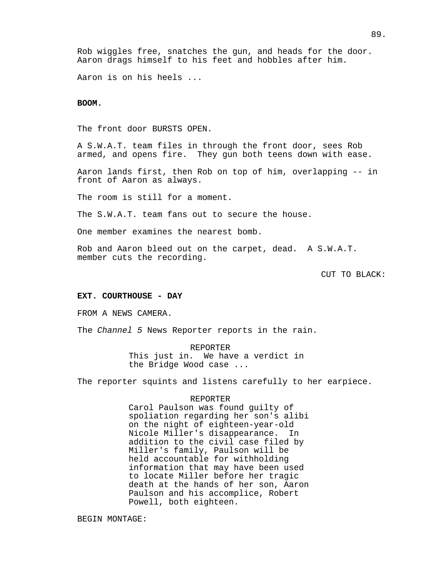Rob wiggles free, snatches the gun, and heads for the door. Aaron drags himself to his feet and hobbles after him.

Aaron is on his heels ...

**BOOM.** 

The front door BURSTS OPEN.

A S.W.A.T. team files in through the front door, sees Rob armed, and opens fire. They gun both teens down with ease.

Aaron lands first, then Rob on top of him, overlapping -- in front of Aaron as always.

The room is still for a moment.

The S.W.A.T. team fans out to secure the house.

One member examines the nearest bomb.

Rob and Aaron bleed out on the carpet, dead. A S.W.A.T. member cuts the recording.

CUT TO BLACK:

#### **EXT. COURTHOUSE - DAY**

FROM A NEWS CAMERA.

The Channel 5 News Reporter reports in the rain.

REPORTER This just in. We have a verdict in the Bridge Wood case ...

The reporter squints and listens carefully to her earpiece.

### REPORTER

Carol Paulson was found guilty of spoliation regarding her son's alibi on the night of eighteen-year-old Nicole Miller's disappearance. In addition to the civil case filed by Miller's family, Paulson will be held accountable for withholding information that may have been used to locate Miller before her tragic death at the hands of her son, Aaron Paulson and his accomplice, Robert Powell, both eighteen.